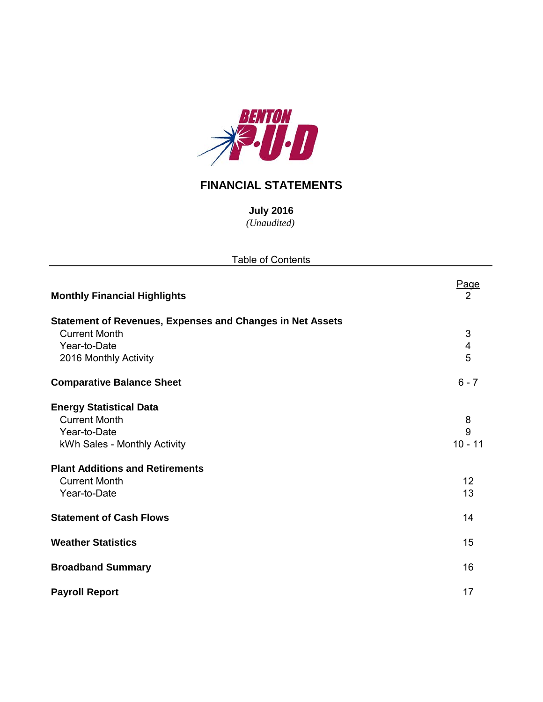

# **FINANCIAL STATEMENTS**

*(Unaudited)* **July 2016**

| <b>Table of Contents</b>                                         |            |
|------------------------------------------------------------------|------------|
| <b>Monthly Financial Highlights</b>                              | Page<br>2  |
| <b>Statement of Revenues, Expenses and Changes in Net Assets</b> |            |
| <b>Current Month</b>                                             | $\sqrt{3}$ |
| Year-to-Date                                                     | 4          |
| 2016 Monthly Activity                                            | 5          |
| <b>Comparative Balance Sheet</b>                                 | $6 - 7$    |
| <b>Energy Statistical Data</b>                                   |            |
| <b>Current Month</b>                                             | 8          |
| Year-to-Date                                                     | 9          |
| kWh Sales - Monthly Activity                                     | $10 - 11$  |
| <b>Plant Additions and Retirements</b>                           |            |
| <b>Current Month</b>                                             | 12         |
| Year-to-Date                                                     | 13         |
| <b>Statement of Cash Flows</b>                                   | 14         |
| <b>Weather Statistics</b>                                        | 15         |
| <b>Broadband Summary</b>                                         | 16         |
| <b>Payroll Report</b>                                            | 17         |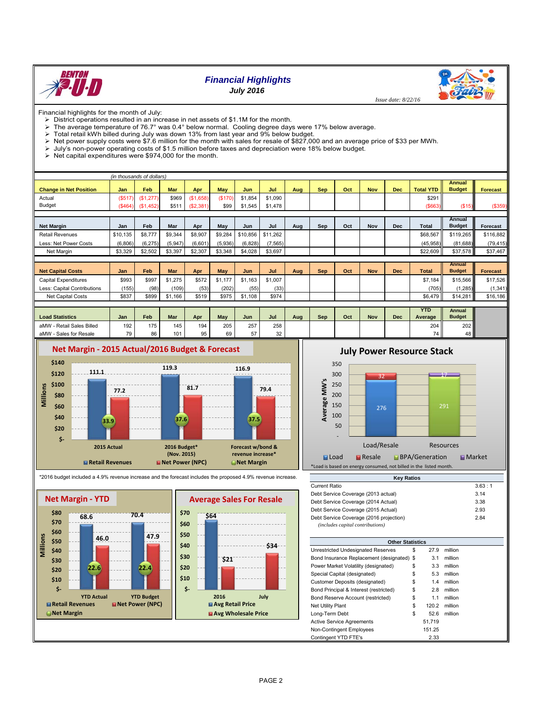

## *Financial Highlights*

*July 2016*



 *Issue date: 8/22/16*

Financial highlights for the month of July:

- $\triangleright$  District operations resulted in an increase in net assets of \$1.1M for the month.
- $\triangleright$  The average temperature of 76.7° was 0.4° below normal. Cooling degree days were 17% below average.
- $\triangleright$  Total retail kWh billed during July was down 13% from last year and 9% below budget.
- Net power supply costs were \$7.6 million for the month with sales for resale of \$827,000 and an average price of \$33 per MWh.
- > July's non-power operating costs of \$1.5 million before taxes and depreciation were 18% below budget.

 $\triangleright$  Net capital expenditures were \$974,000 for the month.

| (in thousands of dollars)     |          |           |            |           |         |          |          |     |            |     |            |            |                  |               |                 |
|-------------------------------|----------|-----------|------------|-----------|---------|----------|----------|-----|------------|-----|------------|------------|------------------|---------------|-----------------|
|                               |          |           |            |           |         |          |          |     |            |     |            |            |                  | <b>Annual</b> |                 |
| <b>Change in Net Position</b> | Jan      | Feb       | Mar        | Apr       | May     | Jun      | Jul      | Aug | <b>Sep</b> | Oct | <b>Nov</b> | <b>Dec</b> | <b>Total YTD</b> | <b>Budget</b> | <b>Forecast</b> |
| Actual                        | (\$517   | (\$1,277) | \$969      | (S1,658)  | (\$170) | \$1,854  | \$1,090  |     |            |     |            |            | \$291            |               |                 |
| <b>Budget</b>                 | (S464)   | (\$1,452) | \$511      | (S2, 381) | \$99    | \$1,545  | \$1,478  |     |            |     |            |            | ( \$663)         | (\$15)        | (\$359)         |
|                               |          |           |            |           |         |          |          |     |            |     |            |            |                  |               |                 |
|                               |          |           |            |           |         |          |          |     |            |     |            |            |                  | Annual        |                 |
| <b>Net Margin</b>             | Jan      | Feb       | Mar        | Apr       | May     | Jun      | Jul      | Aug | Sep        | Oct | <b>Nov</b> | <b>Dec</b> | Total            | <b>Budget</b> | Forecast        |
| <b>Retail Revenues</b>        | \$10.135 | \$8,777   | \$9,344    | \$8,907   | \$9,284 | \$10,856 | \$11,262 |     |            |     |            |            | \$68,567         | \$119,265     | \$116,882       |
| Less: Net Power Costs         | (6,806)  | (6, 275)  | (5,947)    | (6,601)   | (5,936) | (6, 828) | (7, 565) |     |            |     |            |            | (45, 958)        | (81, 688)     | (79, 415)       |
| Net Margin                    | \$3,329  | \$2,502   | \$3,397    | \$2,307   | \$3,348 | \$4,028  | \$3,697  |     |            |     |            |            | \$22,609         | \$37,578      | \$37,467        |
|                               |          |           |            |           |         |          |          |     |            |     |            |            |                  |               |                 |
|                               |          |           |            |           |         |          |          |     |            |     |            |            |                  | Annual        |                 |
| <b>Net Capital Costs</b>      | Jan      | Feb       | <b>Mar</b> | Apr       | May     | Jun      | Jul      | Aug | <b>Sep</b> | Oct | <b>Nov</b> | <b>Dec</b> | <b>Total</b>     | <b>Budget</b> | <b>Forecast</b> |
| <b>Capital Expenditures</b>   | \$993    | \$997     | \$1,275    | \$572     | \$1,177 | \$1,163  | \$1,007  |     |            |     |            |            | \$7,184          | \$15,566      | \$17,526        |
| Less: Capital Contributions   | (155)    | (98)      | (109)      | (53)      | (202)   | (55)     | (33)     |     |            |     |            |            | (705)            | (1, 285)      | (1, 341)        |
| Net Capital Costs             | \$837    | \$899     | \$1,166    | \$519     | \$975   | \$1,108  | \$974    |     |            |     |            |            | \$6,479          | \$14,281      | \$16,186        |
|                               |          |           |            |           |         |          |          |     |            |     |            |            |                  |               |                 |
|                               |          |           |            |           |         |          |          |     |            |     |            |            | <b>YTD</b>       | Annual        |                 |
| <b>Load Statistics</b>        | Jan      | Feb       | <b>Mar</b> | Apr       | May     | Jun      | Jul      | Aug | Sep        | Oct | <b>Nov</b> | <b>Dec</b> | Average          | <b>Budget</b> |                 |
| aMW - Retail Sales Billed     | 192      | 175       | 145        | 194       | 205     | 257      | 258      |     |            |     |            |            | 204              | 202           |                 |



## **July Power Resource Stack**



\*2016 budget included a 4.9% revenue increase and the forecast includes the proposed 4.9% revenue increase.





| <b>Other Statistics</b>                    |             |         |
|--------------------------------------------|-------------|---------|
| Unrestricted Undesignated Reserves         | \$<br>27.9  | million |
| Bond Insurance Replacement (designated) \$ | 3.1         | million |
| Power Market Volatility (designated)       | \$<br>3.3   | million |
| Special Capital (designated)               | \$<br>5.3   | million |
| Customer Deposits (designated)             | \$<br>1.4   | million |
| Bond Principal & Interest (restricted)     | \$<br>2.8   | million |
| Bond Reserve Account (restricted)          | \$<br>1.1   | million |
| <b>Net Utility Plant</b>                   | \$<br>120.2 | million |
| Long-Term Debt                             | \$<br>52.6  | million |
| Active Service Agreements                  | 51.719      |         |
| Non-Contingent Employees                   | 151.25      |         |
| Contingent YTD FTE's                       | 2.33        |         |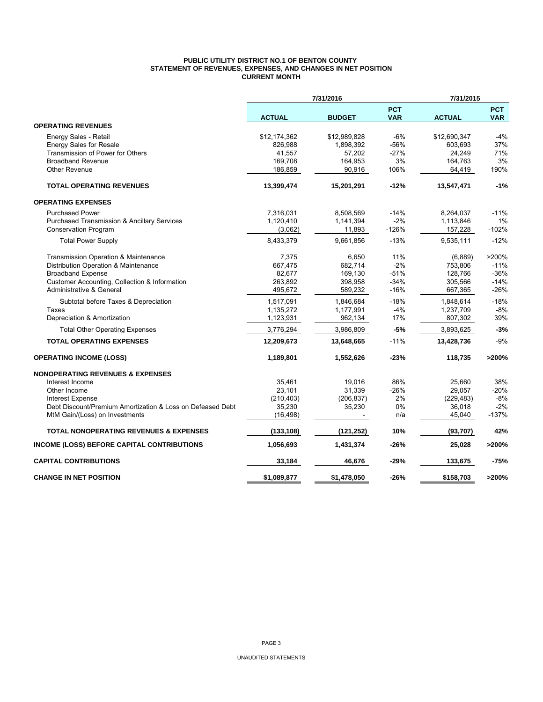### **PUBLIC UTILITY DISTRICT NO.1 OF BENTON COUNTY STATEMENT OF REVENUES, EXPENSES, AND CHANGES IN NET POSITION CURRENT MONTH**

|                                                            |               | 7/31/2016     |                          | 7/31/2015     |                          |
|------------------------------------------------------------|---------------|---------------|--------------------------|---------------|--------------------------|
|                                                            | <b>ACTUAL</b> | <b>BUDGET</b> | <b>PCT</b><br><b>VAR</b> | <b>ACTUAL</b> | <b>PCT</b><br><b>VAR</b> |
| <b>OPERATING REVENUES</b>                                  |               |               |                          |               |                          |
| Energy Sales - Retail                                      | \$12,174,362  | \$12,989,828  | -6%                      | \$12,690,347  | $-4%$                    |
| <b>Energy Sales for Resale</b>                             | 826,988       | 1,898,392     | -56%                     | 603,693       | 37%                      |
| Transmission of Power for Others                           | 41,557        | 57,202        | $-27%$                   | 24,249        | 71%                      |
| <b>Broadband Revenue</b>                                   | 169,708       | 164,953       | 3%                       | 164,763       | 3%                       |
| <b>Other Revenue</b>                                       | 186,859       | 90,916        | 106%                     | 64,419        | 190%                     |
| <b>TOTAL OPERATING REVENUES</b>                            | 13,399,474    | 15,201,291    | $-12%$                   | 13,547,471    | $-1%$                    |
| <b>OPERATING EXPENSES</b>                                  |               |               |                          |               |                          |
| <b>Purchased Power</b>                                     | 7,316,031     | 8,508,569     | $-14%$                   | 8,264,037     | $-11%$                   |
| Purchased Transmission & Ancillary Services                | 1,120,410     | 1,141,394     | $-2%$                    | 1,113,846     | 1%                       |
| <b>Conservation Program</b>                                | (3,062)       | 11,893        | $-126%$                  | 157,228       | $-102%$                  |
| <b>Total Power Supply</b>                                  | 8,433,379     | 9,661,856     | $-13%$                   | 9,535,111     | $-12%$                   |
| Transmission Operation & Maintenance                       | 7,375         | 6,650         | 11%                      | (6,889)       | >200%                    |
| Distribution Operation & Maintenance                       | 667,475       | 682,714       | $-2%$                    | 753,806       | $-11%$                   |
| <b>Broadband Expense</b>                                   | 82,677        | 169,130       | $-51%$                   | 128,766       | $-36%$                   |
| Customer Accounting, Collection & Information              | 263,892       | 398,958       | $-34%$                   | 305,566       | $-14%$                   |
| Administrative & General                                   | 495,672       | 589,232       | $-16%$                   | 667,365       | $-26%$                   |
| Subtotal before Taxes & Depreciation                       | 1,517,091     | 1,846,684     | $-18%$                   | 1,848,614     | $-18%$                   |
| Taxes                                                      | 1,135,272     | 1,177,991     | $-4%$                    | 1,237,709     | $-8%$                    |
| Depreciation & Amortization                                | 1,123,931     | 962,134       | 17%                      | 807,302       | 39%                      |
| <b>Total Other Operating Expenses</b>                      | 3,776,294     | 3,986,809     | $-5%$                    | 3,893,625     | $-3%$                    |
| <b>TOTAL OPERATING EXPENSES</b>                            | 12,209,673    | 13,648,665    | $-11%$                   | 13,428,736    | $-9%$                    |
| <b>OPERATING INCOME (LOSS)</b>                             | 1,189,801     | 1,552,626     | -23%                     | 118,735       | >200%                    |
| <b>NONOPERATING REVENUES &amp; EXPENSES</b>                |               |               |                          |               |                          |
| Interest Income                                            | 35,461        | 19,016        | 86%                      | 25,660        | 38%                      |
| Other Income                                               | 23,101        | 31,339        | -26%                     | 29.057        | $-20%$                   |
| <b>Interest Expense</b>                                    | (210, 403)    | (206, 837)    | 2%                       | (229, 483)    | $-8%$                    |
| Debt Discount/Premium Amortization & Loss on Defeased Debt | 35,230        | 35,230        | 0%                       | 36,018        | $-2%$                    |
| MtM Gain/(Loss) on Investments                             | (16, 498)     |               | n/a                      | 45,040        | $-137%$                  |
| <b>TOTAL NONOPERATING REVENUES &amp; EXPENSES</b>          | (133, 108)    | (121, 252)    | 10%                      | (93, 707)     | 42%                      |
| INCOME (LOSS) BEFORE CAPITAL CONTRIBUTIONS                 | 1,056,693     | 1,431,374     | $-26%$                   | 25,028        | >200%                    |
| <b>CAPITAL CONTRIBUTIONS</b>                               | 33,184        | 46,676        | $-29%$                   | 133,675       | $-75%$                   |
| <b>CHANGE IN NET POSITION</b>                              | \$1,089,877   | \$1,478,050   | -26%                     | \$158,703     | >200%                    |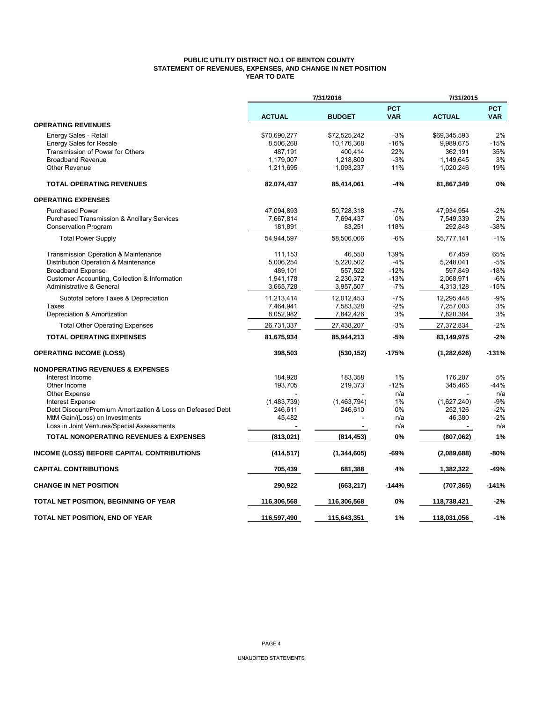## **PUBLIC UTILITY DISTRICT NO.1 OF BENTON COUNTY STATEMENT OF REVENUES, EXPENSES, AND CHANGE IN NET POSITION YEAR TO DATE**

|                                                            |               | 7/31/2016     |                          | 7/31/2015     |                          |
|------------------------------------------------------------|---------------|---------------|--------------------------|---------------|--------------------------|
|                                                            | <b>ACTUAL</b> | <b>BUDGET</b> | <b>PCT</b><br><b>VAR</b> | <b>ACTUAL</b> | <b>PCT</b><br><b>VAR</b> |
| <b>OPERATING REVENUES</b>                                  |               |               |                          |               |                          |
| Energy Sales - Retail                                      | \$70,690,277  | \$72,525,242  | $-3%$                    | \$69,345,593  | 2%                       |
| <b>Energy Sales for Resale</b>                             | 8,506,268     | 10,176,368    | $-16%$                   | 9,989,675     | -15%                     |
| Transmission of Power for Others                           | 487,191       | 400,414       | 22%                      | 362,191       | 35%                      |
| <b>Broadband Revenue</b>                                   | 1,179,007     | 1,218,800     | $-3%$                    | 1,149,645     | 3%                       |
| <b>Other Revenue</b>                                       | 1,211,695     | 1,093,237     | 11%                      | 1,020,246     | 19%                      |
| <b>TOTAL OPERATING REVENUES</b>                            | 82,074,437    | 85,414,061    | $-4%$                    | 81,867,349    | 0%                       |
| <b>OPERATING EXPENSES</b>                                  |               |               |                          |               |                          |
| <b>Purchased Power</b>                                     | 47,094,893    | 50,728,318    | -7%                      | 47,934,954    | $-2%$                    |
| <b>Purchased Transmission &amp; Ancillary Services</b>     | 7,667,814     | 7,694,437     | 0%                       | 7,549,339     | 2%                       |
| Conservation Program                                       | 181,891       | 83,251        | 118%                     | 292,848       | -38%                     |
| <b>Total Power Supply</b>                                  | 54,944,597    | 58,506,006    | $-6%$                    | 55,777,141    | $-1%$                    |
| <b>Transmission Operation &amp; Maintenance</b>            | 111,153       | 46.550        | 139%                     | 67,459        | 65%                      |
| Distribution Operation & Maintenance                       | 5,006,254     | 5,220,502     | $-4%$                    | 5,248,041     | $-5%$                    |
| <b>Broadband Expense</b>                                   | 489,101       | 557,522       | $-12%$                   | 597,849       | $-18%$                   |
| Customer Accounting, Collection & Information              | 1.941.178     | 2,230,372     | $-13%$                   | 2.068.971     | $-6%$                    |
| Administrative & General                                   | 3,665,728     | 3,957,507     | $-7%$                    | 4,313,128     | $-15%$                   |
| Subtotal before Taxes & Depreciation                       | 11,213,414    | 12,012,453    | $-7%$                    | 12,295,448    | $-9%$                    |
| Taxes                                                      | 7,464,941     | 7,583,328     | $-2%$                    | 7,257,003     | 3%                       |
| Depreciation & Amortization                                | 8,052,982     | 7,842,426     | 3%                       | 7,820,384     | 3%                       |
| <b>Total Other Operating Expenses</b>                      | 26,731,337    | 27,438,207    | $-3%$                    | 27,372,834    | $-2%$                    |
| <b>TOTAL OPERATING EXPENSES</b>                            | 81,675,934    | 85,944,213    | $-5%$                    | 83,149,975    | $-2%$                    |
| <b>OPERATING INCOME (LOSS)</b>                             | 398,503       | (530, 152)    | $-175%$                  | (1, 282, 626) | $-131%$                  |
| <b>NONOPERATING REVENUES &amp; EXPENSES</b>                |               |               |                          |               |                          |
| Interest Income                                            | 184,920       | 183,358       | 1%                       | 176,207       | 5%                       |
| Other Income                                               | 193,705       | 219,373       | $-12%$                   | 345,465       | $-44%$                   |
| <b>Other Expense</b>                                       |               |               | n/a                      |               | n/a                      |
| <b>Interest Expense</b>                                    | (1,483,739)   | (1,463,794)   | 1%                       | (1,627,240)   | $-9%$                    |
| Debt Discount/Premium Amortization & Loss on Defeased Debt | 246,611       | 246,610       | 0%                       | 252,126       | $-2%$                    |
| MtM Gain/(Loss) on Investments                             | 45,482        |               | n/a                      | 46,380        | $-2%$                    |
| Loss in Joint Ventures/Special Assessments                 |               |               | n/a                      |               | n/a                      |
| <b>TOTAL NONOPERATING REVENUES &amp; EXPENSES</b>          | (813, 021)    | (814, 453)    | 0%                       | (807,062)     | 1%                       |
| <b>INCOME (LOSS) BEFORE CAPITAL CONTRIBUTIONS</b>          | (414, 517)    | (1, 344, 605) | $-69%$                   | (2,089,688)   | -80%                     |
| <b>CAPITAL CONTRIBUTIONS</b>                               | 705,439       | 681,388       | 4%                       | 1,382,322     | -49%                     |
| <b>CHANGE IN NET POSITION</b>                              | 290,922       | (663, 217)    | $-144%$                  | (707, 365)    | $-141%$                  |
| TOTAL NET POSITION, BEGINNING OF YEAR                      | 116,306,568   | 116,306,568   | 0%                       | 118,738,421   | $-2%$                    |
| TOTAL NET POSITION, END OF YEAR                            | 116.597.490   | 115.643.351   | 1%                       | 118,031,056   | $-1%$                    |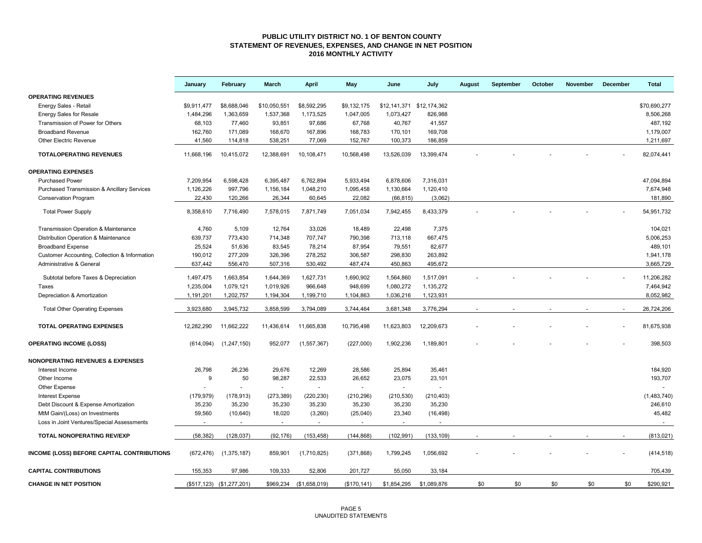### **PUBLIC UTILITY DISTRICT NO. 1 OF BENTON COUNTY STATEMENT OF REVENUES, EXPENSES, AND CHANGE IN NET POSITION 2016 MONTHLY ACTIVITY**

|                                                        | January     | February                  | March          | <b>April</b>            | May          | June                      | July        | August | September | October | November | December | <b>Total</b> |
|--------------------------------------------------------|-------------|---------------------------|----------------|-------------------------|--------------|---------------------------|-------------|--------|-----------|---------|----------|----------|--------------|
| <b>OPERATING REVENUES</b>                              |             |                           |                |                         |              |                           |             |        |           |         |          |          |              |
| Energy Sales - Retail                                  | \$9,911,477 | \$8,688,046               | \$10,050,551   | \$8,592,295             | \$9,132,175  | \$12,141,371 \$12,174,362 |             |        |           |         |          |          | \$70,690,277 |
| <b>Energy Sales for Resale</b>                         | 1,484,296   | 1,363,659                 | 1,537,368      | 1,173,525               | 1,047,005    | 1,073,427                 | 826,988     |        |           |         |          |          | 8,506,268    |
| Transmission of Power for Others                       | 68,103      | 77,460                    | 93,851         | 97,686                  | 67,768       | 40,767                    | 41,557      |        |           |         |          |          | 487,192      |
| <b>Broadband Revenue</b>                               | 162.760     | 171,089                   | 168,670        | 167,896                 | 168,783      | 170,101                   | 169,708     |        |           |         |          |          | 1,179,007    |
| <b>Other Electric Revenue</b>                          | 41.560      | 114,818                   | 538,251        | 77,069                  | 152,767      | 100,373                   | 186,859     |        |           |         |          |          | 1,211,697    |
| <b>TOTALOPERATING REVENUES</b>                         | 11,668,196  | 10,415,072                | 12,388,691     | 10,108,471              | 10,568,498   | 13,526,039                | 13,399,474  |        |           |         |          |          | 82,074,441   |
| <b>OPERATING EXPENSES</b>                              |             |                           |                |                         |              |                           |             |        |           |         |          |          |              |
| <b>Purchased Power</b>                                 | 7,209,954   | 6,598,428                 | 6,395,487      | 6,762,894               | 5,933,494    | 6,878,606                 | 7,316,031   |        |           |         |          |          | 47,094,894   |
| <b>Purchased Transmission &amp; Ancillary Services</b> | 1,126,226   | 997,796                   | 1,156,184      | 1,048,210               | 1,095,458    | 1,130,664                 | 1,120,410   |        |           |         |          |          | 7,674,948    |
| <b>Conservation Program</b>                            | 22,430      | 120,266                   | 26,344         | 60,645                  | 22,082       | (66, 815)                 | (3,062)     |        |           |         |          |          | 181,890      |
| <b>Total Power Supply</b>                              | 8,358,610   | 7,716,490                 | 7,578,015      | 7,871,749               | 7,051,034    | 7,942,455                 | 8,433,379   |        |           |         |          |          | 54,951,732   |
| Transmission Operation & Maintenance                   | 4,760       | 5,109                     | 12,764         | 33,026                  | 18,489       | 22,498                    | 7,375       |        |           |         |          |          | 104,021      |
| Distribution Operation & Maintenance                   | 639,737     | 773,430                   | 714,348        | 707,747                 | 790,398      | 713,118                   | 667,475     |        |           |         |          |          | 5,006,253    |
| <b>Broadband Expense</b>                               | 25,524      | 51,636                    | 83,545         | 78,214                  | 87,954       | 79,551                    | 82,677      |        |           |         |          |          | 489,101      |
| Customer Accounting, Collection & Information          | 190,012     | 277,209                   | 326,396        | 278,252                 | 306,587      | 298,830                   | 263,892     |        |           |         |          |          | 1,941,178    |
| Administrative & General                               | 637,442     | 556,470                   | 507,316        | 530,492                 | 487,474      | 450,863                   | 495,672     |        |           |         |          |          | 3,665,729    |
| Subtotal before Taxes & Depreciation                   | 1,497,475   | 1,663,854                 | 1,644,369      | 1,627,731               | 1,690,902    | 1,564,860                 | 1,517,091   |        |           |         |          |          | 11,206,282   |
| Taxes                                                  | 1,235,004   | 1,079,121                 | 1,019,926      | 966,648                 | 948,699      | 1,080,272                 | 1,135,272   |        |           |         |          |          | 7,464,942    |
| Depreciation & Amortization                            | 1,191,201   | 1,202,757                 | 1,194,304      | 1,199,710               | 1,104,863    | 1,036,216                 | 1,123,931   |        |           |         |          |          | 8,052,982    |
|                                                        |             |                           |                |                         |              |                           |             |        |           |         |          |          |              |
| <b>Total Other Operating Expenses</b>                  | 3,923,680   | 3,945,732                 | 3,858,599      | 3,794,089               | 3,744,464    | 3,681,348                 | 3,776,294   |        |           |         |          |          | 26,724,206   |
| <b>TOTAL OPERATING EXPENSES</b>                        | 12,282,290  | 11,662,222                | 11,436,614     | 11,665,838              | 10,795,498   | 11,623,803                | 12,209,673  |        |           |         |          |          | 81,675,938   |
| <b>OPERATING INCOME (LOSS)</b>                         | (614, 094)  | (1, 247, 150)             | 952,077        | (1,557,367)             | (227,000)    | 1,902,236                 | 1,189,801   |        |           |         |          |          | 398,503      |
| <b>NONOPERATING REVENUES &amp; EXPENSES</b>            |             |                           |                |                         |              |                           |             |        |           |         |          |          |              |
| Interest Income                                        | 26,798      | 26,236                    | 29,676         | 12,269                  | 28,586       | 25,894                    | 35,461      |        |           |         |          |          | 184,920      |
| Other Income                                           | 9           | 50                        | 98,287         | 22,533                  | 26,652       | 23,075                    | 23,101      |        |           |         |          |          | 193,707      |
| Other Expense                                          |             |                           | $\blacksquare$ | $\blacksquare$          |              | $\sim$                    | $\sim$      |        |           |         |          |          |              |
| <b>Interest Expense</b>                                | (179, 979)  | (178, 913)                | (273, 389)     | (220, 230)              | (210, 296)   | (210, 530)                | (210, 403)  |        |           |         |          |          | (1,483,740)  |
| Debt Discount & Expense Amortization                   | 35,230      | 35,230                    | 35,230         | 35,230                  | 35,230       | 35,230                    | 35,230      |        |           |         |          |          | 246,610      |
| MtM Gain/(Loss) on Investments                         | 59,560      | (10, 640)                 | 18,020         | (3,260)                 | (25,040)     | 23,340                    | (16, 498)   |        |           |         |          |          | 45,482       |
| Loss in Joint Ventures/Special Assessments             | $\sim$      | $\blacksquare$            | $\blacksquare$ | $\blacksquare$          | $\sim$       | $\sim$                    |             |        |           |         |          |          | $\sim$       |
| <b>TOTAL NONOPERATING REV/EXP</b>                      | (58, 382)   | (128, 037)                | (92, 176)      | (153, 458)              | (144, 868)   | (102, 991)                | (133, 109)  |        |           |         |          |          | (813, 021)   |
| <b>INCOME (LOSS) BEFORE CAPITAL CONTRIBUTIONS</b>      | (672, 476)  | (1, 375, 187)             | 859,901        | (1,710,825)             | (371, 868)   | 1,799,245                 | 1,056,692   |        |           |         |          |          | (414, 518)   |
| <b>CAPITAL CONTRIBUTIONS</b>                           | 155,353     | 97,986                    | 109,333        | 52,806                  | 201,727      | 55,050                    | 33,184      |        |           |         |          |          | 705,439      |
| <b>CHANGE IN NET POSITION</b>                          |             | (\$517,123) (\$1,277,201) |                | \$969,234 (\$1,658,019) | (\$170, 141) | \$1,854,295               | \$1,089,876 | \$0    | \$0       | \$0     | \$0      | \$0      | \$290,921    |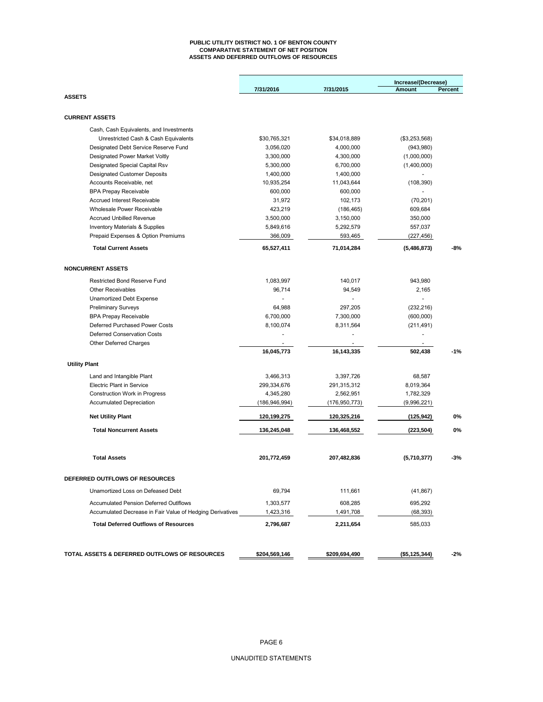#### **PUBLIC UTILITY DISTRICT NO. 1 OF BENTON COUNTY COMPARATIVE STATEMENT OF NET POSITION ASSETS AND DEFERRED OUTFLOWS OF RESOURCES**

|                                                           |                          |                 | Increase/(Decrease) |         |
|-----------------------------------------------------------|--------------------------|-----------------|---------------------|---------|
|                                                           | 7/31/2016                | 7/31/2015       | <b>Amount</b>       | Percent |
| <b>ASSETS</b>                                             |                          |                 |                     |         |
| <b>CURRENT ASSETS</b>                                     |                          |                 |                     |         |
| Cash, Cash Equivalents, and Investments                   |                          |                 |                     |         |
| Unrestricted Cash & Cash Equivalents                      | \$30,765,321             | \$34,018,889    | (\$3,253,568)       |         |
| Designated Debt Service Reserve Fund                      | 3,056,020                | 4,000,000       | (943,980)           |         |
| Designated Power Market Voltly                            | 3,300,000                | 4,300,000       | (1,000,000)         |         |
| Designated Special Capital Rsv                            | 5,300,000                | 6,700,000       | (1,400,000)         |         |
| <b>Designated Customer Deposits</b>                       | 1,400,000                | 1,400,000       |                     |         |
| Accounts Receivable, net                                  | 10,935,254               | 11,043,644      | (108, 390)          |         |
| <b>BPA Prepay Receivable</b>                              | 600,000                  | 600,000         |                     |         |
| <b>Accrued Interest Receivable</b>                        | 31,972                   | 102,173         | (70, 201)           |         |
| Wholesale Power Receivable                                | 423,219                  | (186, 465)      | 609,684             |         |
| <b>Accrued Unbilled Revenue</b>                           | 3,500,000                | 3,150,000       | 350,000             |         |
| <b>Inventory Materials &amp; Supplies</b>                 | 5,849,616                | 5,292,579       | 557,037             |         |
| Prepaid Expenses & Option Premiums                        | 366,009                  | 593,465         | (227, 456)          |         |
| <b>Total Current Assets</b>                               | 65,527,411               | 71,014,284      | (5,486,873)         | $-8%$   |
| <b>NONCURRENT ASSETS</b>                                  |                          |                 |                     |         |
| Restricted Bond Reserve Fund                              | 1,083,997                | 140,017         | 943,980             |         |
| <b>Other Receivables</b>                                  | 96,714                   | 94,549          | 2.165               |         |
| Unamortized Debt Expense                                  | $\overline{\phantom{a}}$ |                 |                     |         |
| <b>Preliminary Surveys</b>                                | 64.988                   | 297.205         | (232, 216)          |         |
| <b>BPA Prepay Receivable</b>                              | 6,700,000                | 7,300,000       | (600,000)           |         |
| Deferred Purchased Power Costs                            | 8,100,074                | 8,311,564       | (211, 491)          |         |
| <b>Deferred Conservation Costs</b>                        |                          |                 |                     |         |
| Other Deferred Charges                                    |                          |                 |                     |         |
|                                                           | 16,045,773               | 16,143,335      | 502,438             | $-1%$   |
| <b>Utility Plant</b>                                      |                          |                 |                     |         |
| Land and Intangible Plant                                 | 3,466,313                | 3,397,726       | 68,587              |         |
| <b>Electric Plant in Service</b>                          | 299,334,676              | 291,315,312     | 8,019,364           |         |
| <b>Construction Work in Progress</b>                      | 4,345,280                | 2,562,951       | 1,782,329           |         |
| <b>Accumulated Depreciation</b>                           | (186, 946, 994)          | (176, 950, 773) | (9,996,221)         |         |
| <b>Net Utility Plant</b>                                  | 120,199,275              | 120,325,216     | (125, 942)          | 0%      |
| <b>Total Noncurrent Assets</b>                            | 136,245,048              | 136,468,552     | (223, 504)          | 0%      |
| <b>Total Assets</b>                                       | 201,772,459              | 207,482,836     | (5,710,377)         | -3%     |
|                                                           |                          |                 |                     |         |
| DEFERRED OUTFLOWS OF RESOURCES                            |                          |                 |                     |         |
| Unamortized Loss on Defeased Debt                         | 69,794                   | 111,661         | (41, 867)           |         |
| <b>Accumulated Pension Deferred Outlflows</b>             | 1,303,577                | 608,285         | 695,292             |         |
| Accumulated Decrease in Fair Value of Hedging Derivatives | 1,423,316                | 1,491,708       | (68, 393)           |         |
| <b>Total Deferred Outflows of Resources</b>               | 2,796,687                | 2,211,654       | 585,033             |         |
|                                                           |                          |                 |                     |         |
| TOTAL ASSETS & DEFERRED OUTFLOWS OF RESOURCES             | \$204,569,146            | \$209,694,490   | (\$5, 125, 344)     | $-2%$   |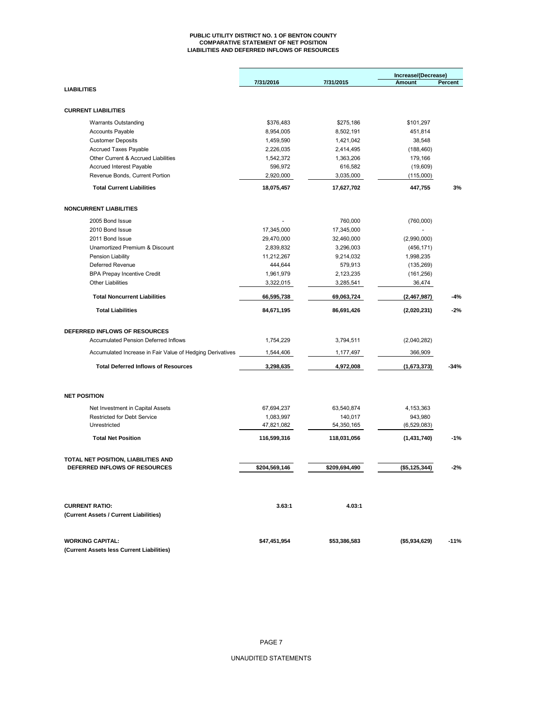#### **PUBLIC UTILITY DISTRICT NO. 1 OF BENTON COUNTY COMPARATIVE STATEMENT OF NET POSITION LIABILITIES AND DEFERRED INFLOWS OF RESOURCES**

|                                                           |               |               | Increase/(Decrease) |         |
|-----------------------------------------------------------|---------------|---------------|---------------------|---------|
| <b>LIABILITIES</b>                                        | 7/31/2016     | 7/31/2015     | Amount              | Percent |
|                                                           |               |               |                     |         |
| <b>CURRENT LIABILITIES</b>                                |               |               |                     |         |
| <b>Warrants Outstanding</b>                               | \$376,483     | \$275,186     | \$101,297           |         |
| <b>Accounts Payable</b>                                   | 8,954,005     | 8,502,191     | 451,814             |         |
| <b>Customer Deposits</b>                                  | 1,459,590     | 1,421,042     | 38,548              |         |
| <b>Accrued Taxes Payable</b>                              | 2,226,035     | 2,414,495     | (188, 460)          |         |
| Other Current & Accrued Liabilities                       | 1,542,372     | 1,363,206     | 179,166             |         |
| Accrued Interest Payable                                  | 596,972       | 616,582       | (19,609)            |         |
| Revenue Bonds, Current Portion                            | 2,920,000     | 3,035,000     | (115,000)           |         |
| <b>Total Current Liabilities</b>                          | 18,075,457    | 17,627,702    | 447,755             | 3%      |
|                                                           |               |               |                     |         |
| <b>NONCURRENT LIABILITIES</b>                             |               |               |                     |         |
| 2005 Bond Issue                                           |               | 760,000       | (760,000)           |         |
| 2010 Bond Issue                                           | 17,345,000    | 17,345,000    |                     |         |
| 2011 Bond Issue                                           | 29,470,000    | 32,460,000    | (2,990,000)         |         |
| Unamortized Premium & Discount                            | 2,839,832     | 3,296,003     | (456, 171)          |         |
| Pension Liability                                         | 11,212,267    | 9,214,032     | 1,998,235           |         |
| Deferred Revenue                                          | 444,644       | 579,913       | (135, 269)          |         |
| <b>BPA Prepay Incentive Credit</b>                        | 1,961,979     | 2,123,235     | (161, 256)          |         |
| <b>Other Liabilities</b>                                  | 3,322,015     | 3,285,541     | 36,474              |         |
| <b>Total Noncurrent Liabilities</b>                       | 66,595,738    | 69,063,724    | (2,467,987)         | $-4%$   |
| <b>Total Liabilities</b>                                  | 84,671,195    | 86,691,426    | (2,020,231)         | $-2%$   |
| DEFERRED INFLOWS OF RESOURCES                             |               |               |                     |         |
| Accumulated Pension Deferred Inflows                      | 1,754,229     | 3,794,511     | (2,040,282)         |         |
| Accumulated Increase in Fair Value of Hedging Derivatives | 1,544,406     | 1,177,497     | 366,909             |         |
| <b>Total Deferred Inflows of Resources</b>                | 3,298,635     | 4,972,008     | (1,673,373)         | $-34%$  |
|                                                           |               |               |                     |         |
| <b>NET POSITION</b>                                       |               |               |                     |         |
| Net Investment in Capital Assets                          | 67,694,237    | 63,540,874    | 4, 153, 363         |         |
| <b>Restricted for Debt Service</b>                        | 1,083,997     | 140,017       | 943,980             |         |
| Unrestricted                                              | 47,821,082    | 54,350,165    | (6,529,083)         |         |
| <b>Total Net Position</b>                                 | 116,599,316   | 118,031,056   | (1,431,740)         | $-1%$   |
| TOTAL NET POSITION, LIABILITIES AND                       |               |               |                     |         |
| DEFERRED INFLOWS OF RESOURCES                             | \$204,569,146 | \$209,694,490 | (\$5,125,344)       | -2%     |
|                                                           |               |               |                     |         |
| <b>CURRENT RATIO:</b>                                     | 3.63:1        | 4.03:1        |                     |         |
| (Current Assets / Current Liabilities)                    |               |               |                     |         |
| <b>WORKING CAPITAL:</b>                                   | \$47,451,954  | \$53,386,583  | (\$5,934,629)       | $-11%$  |
| (Current Assets less Current Liabilities)                 |               |               |                     |         |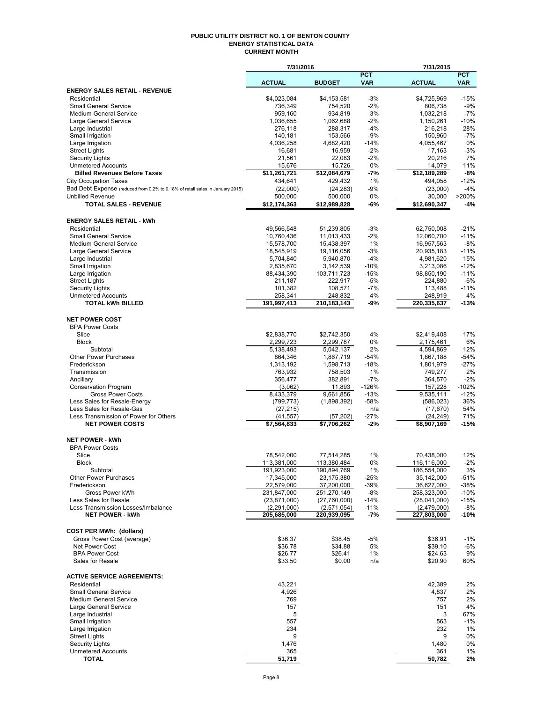#### **PUBLIC UTILITY DISTRICT NO. 1 OF BENTON COUNTY ENERGY STATISTICAL DATA CURRENT MONTH**

|                                                                               | 7/31/2016               |                    |             | 7/31/2015            |                |
|-------------------------------------------------------------------------------|-------------------------|--------------------|-------------|----------------------|----------------|
|                                                                               |                         |                    | <b>PCT</b>  |                      | <b>PCT</b>     |
|                                                                               | <b>ACTUAL</b>           | <b>BUDGET</b>      | <b>VAR</b>  | <b>ACTUAL</b>        | <b>VAR</b>     |
| <b>ENERGY SALES RETAIL - REVENUE</b>                                          |                         |                    |             |                      |                |
| Residential                                                                   | \$4,023,084             | \$4,153,581        | $-3%$       | \$4,725,969          | $-15%$         |
| <b>Small General Service</b><br><b>Medium General Service</b>                 | 736,349<br>959,160      | 754,520<br>934,819 | $-2%$<br>3% | 806,738<br>1,032,218 | $-9%$<br>$-7%$ |
| Large General Service                                                         | 1,036,655               | 1,062,688          | $-2%$       | 1,150,261            | $-10%$         |
| Large Industrial                                                              | 276,118                 | 288,317            | $-4%$       | 216,218              | 28%            |
| Small Irrigation                                                              | 140,181                 | 153,566            | $-9%$       | 150,960              | $-7%$          |
| Large Irrigation                                                              | 4,036,258               | 4,682,420          | $-14%$      | 4,055,467            | 0%             |
| <b>Street Lights</b>                                                          | 16,681                  | 16,959             | $-2%$       | 17,163               | $-3%$          |
| <b>Security Lights</b>                                                        | 21,561                  | 22,083             | $-2%$       | 20.216               | 7%             |
| <b>Unmetered Accounts</b>                                                     | 15,676                  | 15,726             | 0%          | 14,079               | 11%            |
| <b>Billed Revenues Before Taxes</b>                                           | \$11,261,721            | \$12,084,679       | -7%         | \$12,189,289         | $-8%$          |
| <b>City Occupation Taxes</b>                                                  | 434,641                 | 429,432            | 1%          | 494,058              | $-12%$         |
| Bad Debt Expense (reduced from 0.2% to 0.18% of retail sales in January 2015) | (22,000)                | (24, 283)          | $-9%$       | (23,000)             | $-4%$          |
| <b>Unbilled Revenue</b>                                                       | 500,000                 | 500,000            | 0%          | 30,000               | >200%          |
| <b>TOTAL SALES - REVENUE</b>                                                  | \$12,174,363            | \$12,989,828       | -6%         | \$12,690,347         | $-4%$          |
|                                                                               |                         |                    |             |                      |                |
| <b>ENERGY SALES RETAIL - kWh</b>                                              |                         |                    |             |                      |                |
| Residential                                                                   | 49,566,548              | 51,239,805         | $-3%$       | 62,750,008           | $-21%$         |
| <b>Small General Service</b>                                                  | 10,760,436              | 11,013,433         | $-2%$       | 12,060,700           | $-11%$         |
| <b>Medium General Service</b>                                                 | 15,578,700              | 15,438,397         | 1%          | 16,957,563           | $-8%$          |
| Large General Service                                                         | 18,545,919              | 19,116,056         | $-3%$       | 20,935,183           | $-11%$         |
| Large Industrial                                                              | 5,704,840               | 5,940,870          | $-4%$       | 4,981,620            | 15%            |
| Small Irrigation                                                              | 2,835,670               | 3,142,539          | $-10%$      | 3,213,086            | $-12%$         |
| Large Irrigation                                                              | 88,434,390              | 103,711,723        | $-15%$      | 98,850,190           | $-11%$         |
| <b>Street Lights</b>                                                          | 211,187                 | 222,917            | $-5%$       | 224,880              | $-6%$          |
| <b>Security Lights</b>                                                        | 101,382                 | 108,571            | $-7%$       | 113,488              | $-11%$         |
| <b>Unmetered Accounts</b>                                                     | 258,341                 | 248,832            | 4%          | 248,919              | 4%             |
| <b>TOTAL kWh BILLED</b>                                                       | 191,997,413             | 210,183,143        | -9%         | 220,335,637          | $-13%$         |
|                                                                               |                         |                    |             |                      |                |
| <b>NET POWER COST</b>                                                         |                         |                    |             |                      |                |
| <b>BPA Power Costs</b>                                                        |                         |                    |             |                      |                |
| Slice                                                                         | \$2,838,770             | \$2,742,350        | 4%          | \$2,419,408          | 17%            |
| <b>Block</b>                                                                  | 2,299,723               | 2,299,787          | 0%          | 2,175,461            | 6%             |
| Subtotal                                                                      | 5,138,493               | 5,042,137          | 2%          | 4,594,869            | 12%            |
| <b>Other Power Purchases</b>                                                  | 864,346                 | 1,867,719          | $-54%$      | 1,867,188            | $-54%$         |
| Frederickson                                                                  | 1,313,192               | 1,598,713          | $-18%$      | 1,801,979            | $-27%$         |
| Transmission                                                                  | 763,932                 | 758,503            | 1%          | 749,277              | 2%             |
| Ancillary                                                                     | 356,477                 | 382,891            | $-7%$       | 364,570              | $-2%$          |
| <b>Conservation Program</b>                                                   | (3,062)                 | 11,893             | $-126%$     | 157,228              | $-102%$        |
| <b>Gross Power Costs</b>                                                      | 8,433,379               | 9,661,856          | $-13%$      | 9,535,111            | $-12%$         |
| Less Sales for Resale-Energy                                                  | (799, 773)              | (1,898,392)        | $-58%$      | (586, 023)           | 36%            |
| Less Sales for Resale-Gas                                                     | (27, 215)               |                    | n/a         | (17, 670)            | 54%            |
| Less Transmission of Power for Others                                         | (41, 557)               | (57, 202)          | $-27%$      | (24, 249)            | 71%            |
| <b>NET POWER COSTS</b>                                                        | $\overline{57,564,833}$ | \$7,706,262        | $-2%$       | \$8,907,169          | $-15%$         |
|                                                                               |                         |                    |             |                      |                |
| <b>NET POWER - kWh</b>                                                        |                         |                    |             |                      |                |
| <b>BPA Power Costs</b>                                                        |                         |                    |             |                      |                |
| Slice                                                                         | 78,542,000              | 77.514.285         | 1%          | 70,438,000           | 12%            |
| Block                                                                         | 113,381,000             | 113,380,484        | 0%          | 116,116,000          | $-2%$          |
| Subtotal                                                                      | 191,923,000             | 190,894,769        | 1%          | 186,554,000          | 3%             |
| <b>Other Power Purchases</b>                                                  | 17,345,000              | 23,175,380         | -25%        | 35,142,000           | $-51%$         |
| Frederickson                                                                  | 22,579,000              | 37,200,000         | -39%        | 36,627,000           | -38%           |
| Gross Power kWh                                                               | 231,847,000             | 251,270,149        | $-8%$       | 258,323,000          | $-10%$         |
| Less Sales for Resale                                                         | (23, 871, 000)          | (27,760,000)       | $-14%$      | (28,041,000)         | $-15%$         |
| Less Transmission Losses/Imbalance<br><b>NET POWER - kWh</b>                  | (2, 291, 000)           | (2,571,054)        | $-11%$      | (2,479,000)          | $-8%$          |
|                                                                               | 205,685,000             | 220,939,095        | -7%         | 227,803,000          | $-10%$         |
|                                                                               |                         |                    |             |                      |                |
| <b>COST PER MWh: (dollars)</b>                                                |                         |                    |             |                      |                |
| Gross Power Cost (average)                                                    | \$36.37                 | \$38.45            | $-5%$       | \$36.91              | $-1%$          |
| Net Power Cost                                                                | \$36.78                 | \$34.88            | 5%          | \$39.10              | -6%            |
| <b>BPA Power Cost</b>                                                         | \$26.77                 | \$26.41            | 1%          | \$24.63              | 9%             |
| Sales for Resale                                                              | \$33.50                 | \$0.00             | n/a         | \$20.90              | 60%            |
|                                                                               |                         |                    |             |                      |                |
| <b>ACTIVE SERVICE AGREEMENTS:</b>                                             |                         |                    |             |                      |                |
| Residential                                                                   | 43,221                  |                    |             | 42,389               | 2%             |
| <b>Small General Service</b>                                                  | 4,926                   |                    |             | 4,837                | 2%             |
| <b>Medium General Service</b>                                                 | 769                     |                    |             | 757                  | 2%             |
| Large General Service                                                         | 157                     |                    |             | 151                  | 4%             |
| Large Industrial                                                              | 5                       |                    |             | 3                    | 67%            |
| Small Irrigation                                                              | 557                     |                    |             | 563                  | $-1%$          |
| Large Irrigation                                                              | 234                     |                    |             | 232                  | 1%             |
| <b>Street Lights</b>                                                          | 9                       |                    |             | 9                    | 0%             |
| <b>Security Lights</b><br><b>Unmetered Accounts</b>                           | 1,476<br>365            |                    |             | 1,480<br>361         | 0%<br>1%       |
| <b>TOTAL</b>                                                                  | 51,719                  |                    |             | 50,782               | 2%             |
|                                                                               |                         |                    |             |                      |                |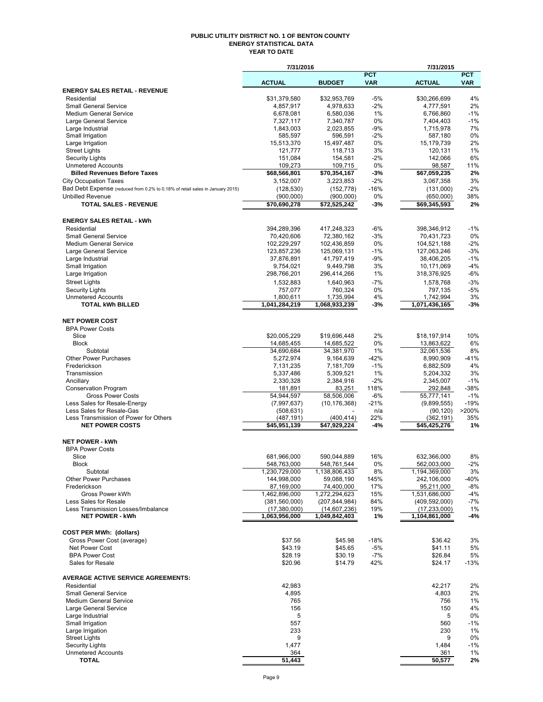#### **PUBLIC UTILITY DISTRICT NO. 1 OF BENTON COUNTY ENERGY STATISTICAL DATA YEAR TO DATE**

|                                                                               | 7/31/2016                     |                               |                          | 7/31/2015                       |                          |
|-------------------------------------------------------------------------------|-------------------------------|-------------------------------|--------------------------|---------------------------------|--------------------------|
|                                                                               | <b>ACTUAL</b>                 | <b>BUDGET</b>                 | <b>PCT</b><br><b>VAR</b> | <b>ACTUAL</b>                   | <b>PCT</b><br><b>VAR</b> |
| <b>ENERGY SALES RETAIL - REVENUE</b>                                          |                               |                               |                          |                                 |                          |
| Residential                                                                   | \$31,379,580                  | \$32,953,769                  | $-5%$                    | \$30,266,699                    | 4%                       |
| <b>Small General Service</b>                                                  | 4,857,917                     | 4,978,633                     | $-2%$                    | 4,777,591                       | 2%                       |
| <b>Medium General Service</b>                                                 | 6,678,081                     | 6,580,036                     | 1%                       | 6,766,860                       | $-1%$                    |
| Large General Service<br>Large Industrial                                     | 7,327,117<br>1,843,003        | 7,340,787<br>2,023,855        | 0%<br>$-9%$              | 7,404,403<br>1,715,978          | $-1%$<br>7%              |
| Small Irrigation                                                              | 585,597                       | 596,591                       | $-2\%$                   | 587,180                         | 0%                       |
| Large Irrigation                                                              | 15,513,370                    | 15,497,487                    | $0\%$                    | 15,179,739                      | 2%                       |
| <b>Street Lights</b>                                                          | 121,777                       | 118,713                       | 3%                       | 120,131                         | 1%                       |
| <b>Security Lights</b>                                                        | 151,084                       | 154,581                       | $-2%$                    | 142,066                         | 6%                       |
| <b>Unmetered Accounts</b><br><b>Billed Revenues Before Taxes</b>              | 109,273<br>\$68,566,801       | 109,715<br>\$70,354,167       | 0%<br>-3%                | 98,587<br>\$67,059,235          | 11%<br>2%                |
| <b>City Occupation Taxes</b>                                                  | 3,152,007                     | 3,223,853                     | $-2%$                    | 3,067,358                       | 3%                       |
| Bad Debt Expense (reduced from 0.2% to 0.18% of retail sales in January 2015) | (128, 530)                    | (152, 778)                    | $-16%$                   | (131,000)                       | $-2%$                    |
| <b>Unbilled Revenue</b>                                                       | (900,000)                     | (900,000)                     | 0%                       | (650,000)                       | 38%                      |
| <b>TOTAL SALES - REVENUE</b>                                                  | \$70,690,278                  | \$72,525,242                  | -3%                      | \$69,345,593                    | 2%                       |
| <b>ENERGY SALES RETAIL - kWh</b>                                              |                               |                               |                          |                                 |                          |
| Residential                                                                   | 394,289,396                   | 417,248,323                   | -6%                      | 398,346,912                     | $-1%$                    |
| <b>Small General Service</b>                                                  | 70,420,606                    | 72,380,162                    | $-3%$                    | 70,431,723                      | 0%                       |
| Medium General Service                                                        | 102,229,297                   | 102,436,859                   | $0\%$                    | 104,521,188                     | $-2%$                    |
| Large General Service<br>Large Industrial                                     | 123,857,236<br>37,876,891     | 125,069,131<br>41,797,419     | $-1%$<br>$-9%$           | 127,063,246<br>38,406,205       | $-3%$<br>$-1%$           |
| Small Irrigation                                                              | 9,754,021                     | 9,449,798                     | 3%                       | 10,171,069                      | $-4%$                    |
| Large Irrigation                                                              | 298,766,201                   | 296,414,266                   | 1%                       | 318,376,925                     | $-6%$                    |
| <b>Street Lights</b>                                                          | 1,532,883                     | 1,640,963                     | $-7%$                    | 1,578,768                       | $-3%$                    |
| <b>Security Lights</b>                                                        | 757,077                       | 760,324                       | 0%                       | 797,135                         | $-5%$                    |
| <b>Unmetered Accounts</b>                                                     | 1,800,611                     | 1,735,994                     | 4%                       | 1,742,994                       | 3%                       |
| <b>TOTAL kWh BILLED</b>                                                       | 1,041,284,219                 | 1,068,933,239                 | -3%                      | 1,071,436,165                   | -3%                      |
| <b>NET POWER COST</b>                                                         |                               |                               |                          |                                 |                          |
| <b>BPA Power Costs</b>                                                        |                               |                               |                          |                                 |                          |
| Slice<br><b>Block</b>                                                         | \$20,005,229<br>14,685,455    | \$19,696,448<br>14,685,522    | 2%<br>0%                 | \$18,197,914<br>13,863,622      | 10%<br>6%                |
| Subtotal                                                                      | 34,690,684                    | 34,381,970                    | 1%                       | 32,061,536                      | 8%                       |
| <b>Other Power Purchases</b>                                                  | 5,272,974                     | 9,164,639                     | $-42%$                   | 8,990,909                       | $-41%$                   |
| Frederickson                                                                  | 7,131,235                     | 7,181,709                     | $-1%$                    | 6,882,509                       | 4%                       |
| Transmission                                                                  | 5,337,486                     | 5,309,521                     | 1%                       | 5,204,332                       | 3%                       |
| Ancillary                                                                     | 2,330,328                     | 2,384,916                     | $-2%$                    | 2,345,007                       | $-1%$                    |
| <b>Conservation Program</b>                                                   | 181,891                       | 83,251                        | 118%                     | 292,848                         | $-38%$                   |
| <b>Gross Power Costs</b><br>Less Sales for Resale-Energy                      | 54,944,597                    | 58,506,006<br>(10, 176, 368)  | -6%<br>$-21%$            | 55,777,141                      | $-1%$<br>$-19%$          |
| Less Sales for Resale-Gas                                                     | (7,997,637)<br>(508, 631)     |                               | n/a                      | (9,899,555)<br>(90, 120)        | >200%                    |
| Less Transmission of Power for Others                                         | (487, 191)                    | (400, 414)                    | 22%                      | (362, 191)                      | 35%                      |
| <b>NET POWER COSTS</b>                                                        | \$45,951,139                  | $\overline{47,929,224}$       | -4%                      | \$45,425,276                    | 1%                       |
| <b>NET POWER - kWh</b>                                                        |                               |                               |                          |                                 |                          |
| <b>BPA Power Costs</b>                                                        |                               |                               |                          |                                 |                          |
| Slice                                                                         | 681,966,000                   | 590,044,889                   | 16%                      | 632,366,000                     | 8%                       |
| Block<br>Subtotal                                                             | 548,763,000<br>1,230,729,000  | 548,761,544<br>1,138,806,433  | 0%<br>8%                 | 562,003,000<br>1,194,369,000    | -2%<br>3%                |
| <b>Other Power Purchases</b>                                                  | 144,998,000                   | 59,088,190                    | 145%                     | 242,106,000                     | -40%                     |
| Frederickson                                                                  | 87,169,000                    | 74,400,000                    | 17%                      | 95,211,000                      | $-8%$                    |
| Gross Power kWh                                                               | 1.462.896.000                 | 1,272,294,623                 | 15%                      | 1,531,686,000                   | $-4%$                    |
| Less Sales for Resale                                                         | (381, 560, 000)               | (207, 844, 984)               | 84%                      | (409, 592, 000)                 | $-7%$                    |
| Less Transmission Losses/Imbalance<br><b>NET POWER - kWh</b>                  | (17,380,000)<br>1,063,956,000 | (14,607,236)<br>1,049,842,403 | 19%<br>1%                | (17, 233, 000)<br>1,104,861,000 | 1%<br>-4%                |
| <b>COST PER MWh: (dollars)</b>                                                |                               |                               |                          |                                 |                          |
| Gross Power Cost (average)                                                    | \$37.56                       | \$45.98                       | $-18%$                   | \$36.42                         | 3%                       |
| Net Power Cost                                                                | \$43.19                       | \$45.65                       | $-5%$                    | \$41.11                         | 5%                       |
| <b>BPA Power Cost</b>                                                         | \$28.19                       | \$30.19                       | $-7%$                    | \$26.84                         | 5%                       |
| Sales for Resale                                                              | \$20.96                       | \$14.79                       | 42%                      | \$24.17                         | $-13%$                   |
| <b>AVERAGE ACTIVE SERVICE AGREEMENTS:</b>                                     |                               |                               |                          |                                 |                          |
| Residential                                                                   | 42,983                        |                               |                          | 42,217                          | 2%                       |
| <b>Small General Service</b>                                                  | 4,895                         |                               |                          | 4,803                           | 2%                       |
| <b>Medium General Service</b><br>Large General Service                        | 765<br>156                    |                               |                          | 756<br>150                      | 1%<br>4%                 |
| Large Industrial                                                              | 5                             |                               |                          | 5                               | 0%                       |
| Small Irrigation                                                              | 557                           |                               |                          | 560                             | $-1%$                    |
| Large Irrigation                                                              | 233                           |                               |                          | 230                             | 1%                       |
| <b>Street Lights</b>                                                          | 9                             |                               |                          | 9                               | 0%                       |
| <b>Security Lights</b>                                                        | 1,477                         |                               |                          | 1,484                           | $-1%$                    |
| <b>Unmetered Accounts</b>                                                     | 364                           |                               |                          | 361                             | 1%                       |
| <b>TOTAL</b>                                                                  | 51,443                        |                               |                          | 50,577                          | 2%                       |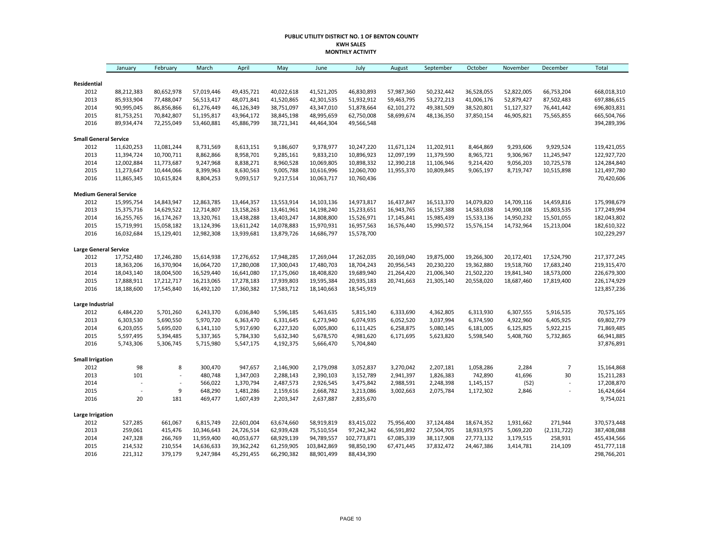#### **PUBLIC UTILITY DISTRICT NO. 1 OF BENTON COUNTY KWH SALES MONTHLY ACTIVITY**

|                               | January        | February       | March      | April      | May        | June        | July        | August     | September  | October    | November   | December       | Total       |
|-------------------------------|----------------|----------------|------------|------------|------------|-------------|-------------|------------|------------|------------|------------|----------------|-------------|
| Residential                   |                |                |            |            |            |             |             |            |            |            |            |                |             |
| 2012                          | 88,212,383     | 80,652,978     | 57,019,446 | 49,435,721 | 40,022,618 | 41,521,205  | 46,830,893  | 57,987,360 | 50,232,442 | 36,528,055 | 52,822,005 | 66,753,204     | 668,018,310 |
| 2013                          | 85,933,904     | 77,488,047     | 56,513,417 | 48,071,841 | 41,520,865 | 42,301,535  | 51,932,912  | 59,463,795 | 53,272,213 | 41,006,176 | 52,879,427 | 87,502,483     | 697,886,615 |
| 2014                          | 90,995,045     | 86,856,866     | 61,276,449 | 46,126,349 | 38,751,097 | 43,347,010  | 51,878,664  | 62,101,272 | 49,381,509 | 38,520,801 | 51,127,327 | 76,441,442     | 696,803,831 |
| 2015                          | 81,753,251     | 70,842,807     | 51,195,817 | 43,964,172 | 38,845,198 | 48,995,659  | 62,750,008  | 58,699,674 | 48,136,350 | 37,850,154 | 46,905,821 | 75,565,855     | 665,504,766 |
| 2016                          | 89,934,474     | 72,255,049     | 53,460,881 | 45,886,799 | 38,721,341 | 44,464,304  | 49,566,548  |            |            |            |            |                | 394,289,396 |
| <b>Small General Service</b>  |                |                |            |            |            |             |             |            |            |            |            |                |             |
| 2012                          | 11,620,253     | 11,081,244     | 8,731,569  | 8,613,151  | 9,186,607  | 9,378,977   | 10,247,220  | 11,671,124 | 11,202,911 | 8,464,869  | 9,293,606  | 9,929,524      | 119,421,055 |
| 2013                          | 11,394,724     | 10,700,711     | 8,862,866  | 8,958,701  | 9,285,161  | 9,833,210   | 10,896,923  | 12,097,199 | 11,379,590 | 8,965,721  | 9,306,967  | 11,245,947     | 122,927,720 |
| 2014                          | 12,002,884     | 11,773,687     | 9,247,968  | 8,838,271  | 8,960,528  | 10,069,805  | 10,898,332  | 12,390,218 | 11,106,946 | 9,214,420  | 9,056,203  | 10,725,578     | 124,284,840 |
| 2015                          | 11,273,647     | 10,444,066     | 8,399,963  | 8,630,563  | 9,005,788  | 10,616,996  | 12,060,700  | 11,955,370 | 10,809,845 | 9,065,197  | 8,719,747  | 10,515,898     | 121,497,780 |
| 2016                          | 11,865,345     | 10,615,824     | 8,804,253  | 9,093,517  | 9,217,514  | 10,063,717  | 10,760,436  |            |            |            |            |                | 70,420,606  |
| <b>Medium General Service</b> |                |                |            |            |            |             |             |            |            |            |            |                |             |
| 2012                          | 15,995,754     | 14,843,947     | 12,863,785 | 13,464,357 | 13,553,914 | 14,103,136  | 14,973,817  | 16,437,847 | 16,513,370 | 14,079,820 | 14,709,116 | 14,459,816     | 175,998,679 |
| 2013                          | 15,375,716     | 14,629,522     | 12,714,807 | 13,158,263 | 13,461,961 | 14,198,240  | 15,233,651  | 16,943,765 | 16,157,388 | 14,583,038 | 14,990,108 | 15,803,535     | 177,249,994 |
| 2014                          | 16,255,765     | 16,174,267     | 13,320,761 | 13,438,288 | 13,403,247 | 14,808,800  | 15,526,971  | 17,145,841 | 15,985,439 | 15,533,136 | 14,950,232 | 15,501,055     | 182,043,802 |
| 2015                          | 15,719,991     | 15,058,182     | 13,124,396 | 13,611,242 | 14,078,883 | 15,970,931  | 16,957,563  | 16,576,440 | 15,990,572 | 15,576,154 | 14,732,964 | 15,213,004     | 182,610,322 |
| 2016                          | 16,032,684     | 15,129,401     | 12,982,308 | 13,939,681 | 13,879,726 | 14,686,797  | 15,578,700  |            |            |            |            |                | 102,229,297 |
| <b>Large General Service</b>  |                |                |            |            |            |             |             |            |            |            |            |                |             |
| 2012                          | 17,752,480     | 17,246,280     | 15,614,938 | 17,276,652 | 17,948,285 | 17,269,044  | 17,262,035  | 20,169,040 | 19,875,000 | 19,266,300 | 20,172,401 | 17,524,790     | 217,377,245 |
| 2013                          | 18,363,206     | 16,370,904     | 16,064,720 | 17,280,008 | 17,300,043 | 17,480,703  | 18,704,243  | 20,956,543 | 20,230,220 | 19,362,880 | 19,518,760 | 17,683,240     | 219,315,470 |
| 2014                          | 18,043,140     | 18,004,500     | 16,529,440 | 16,641,080 | 17,175,060 | 18,408,820  | 19,689,940  | 21,264,420 | 21,006,340 | 21,502,220 | 19,841,340 | 18,573,000     | 226,679,300 |
| 2015                          | 17,888,911     | 17,212,717     | 16,213,065 | 17,278,183 | 17,939,803 | 19,595,384  | 20,935,183  | 20,741,663 | 21,305,140 | 20,558,020 | 18,687,460 | 17,819,400     | 226,174,929 |
| 2016                          | 18,188,600     | 17,545,840     | 16,492,120 | 17,360,382 | 17,583,712 | 18,140,663  | 18,545,919  |            |            |            |            |                | 123,857,236 |
| Large Industrial              |                |                |            |            |            |             |             |            |            |            |            |                |             |
| 2012                          | 6,484,220      | 5,701,260      | 6,243,370  | 6,036,840  | 5,596,185  | 5,463,635   | 5,815,140   | 6,333,690  | 4,362,805  | 6,313,930  | 6,307,555  | 5,916,535      | 70,575,165  |
| 2013                          | 6,303,530      | 5,690,550      | 5,970,720  | 6,363,470  | 6,331,645  | 6,273,940   | 6,074,935   | 6,052,520  | 3,037,994  | 6,374,590  | 4,922,960  | 6,405,925      | 69,802,779  |
| 2014                          | 6,203,055      | 5,695,020      | 6,141,110  | 5,917,690  | 6,227,320  | 6,005,800   | 6,111,425   | 6,258,875  | 5,080,145  | 6,181,005  | 6,125,825  | 5,922,215      | 71,869,485  |
| 2015                          | 5,597,495      | 5,394,485      | 5,337,365  | 5,784,330  | 5,632,340  | 5,678,570   | 4,981,620   | 6,171,695  | 5,623,820  | 5,598,540  | 5,408,760  | 5,732,865      | 66,941,885  |
| 2016                          | 5,743,306      | 5,306,745      | 5,715,980  | 5,547,175  | 4,192,375  | 5,666,470   | 5,704,840   |            |            |            |            |                | 37,876,891  |
| <b>Small Irrigation</b>       |                |                |            |            |            |             |             |            |            |            |            |                |             |
| 2012                          | 98             | 8              | 300,470    | 947,657    | 2,146,900  | 2,179,098   | 3,052,837   | 3,270,042  | 2,207,181  | 1,058,286  | 2,284      | $\overline{7}$ | 15,164,868  |
| 2013                          | 101            | $\overline{a}$ | 480,748    | 1,347,003  | 2,288,143  | 2,390,103   | 3,152,789   | 2,941,397  | 1,826,383  | 742,890    | 41,696     | 30             | 15,211,283  |
| 2014                          | $\overline{a}$ | $\overline{a}$ | 566,022    | 1,370,794  | 2,487,573  | 2,926,545   | 3,475,842   | 2,988,591  | 2,248,398  | 1,145,157  | (52)       | L,             | 17,208,870  |
| 2015                          |                | 9              | 648,290    | 1,481,286  | 2,159,616  | 2,668,782   | 3,213,086   | 3,002,663  | 2,075,784  | 1,172,302  | 2,846      | $\overline{a}$ | 16,424,664  |
| 2016                          | 20             | 181            | 469,477    | 1,607,439  | 2,203,347  | 2,637,887   | 2,835,670   |            |            |            |            |                | 9,754,021   |
| <b>Large Irrigation</b>       |                |                |            |            |            |             |             |            |            |            |            |                |             |
| 2012                          | 527,285        | 661,067        | 6,815,749  | 22,601,004 | 63,674,660 | 58,919,819  | 83,415,022  | 75,956,400 | 37,124,484 | 18,674,352 | 1,931,662  | 271,944        | 370,573,448 |
| 2013                          | 259,061        | 415,476        | 10,346,643 | 24,726,514 | 62,939,428 | 75,510,554  | 97,242,342  | 66,591,892 | 27,504,705 | 18,933,975 | 5,069,220  | (2, 131, 722)  | 387,408,088 |
| 2014                          | 247,328        | 266,769        | 11,959,400 | 40,053,677 | 68,929,139 | 94,789,557  | 102,773,871 | 67,085,339 | 38,117,908 | 27,773,132 | 3,179,515  | 258,931        | 455,434,566 |
| 2015                          | 214,532        | 210,554        | 14,636,633 | 39,362,242 | 61,259,905 | 103,842,869 | 98,850,190  | 67,471,445 | 37,832,472 | 24,467,386 | 3,414,781  | 214,109        | 451,777,118 |
| 2016                          | 221,312        | 379,179        | 9,247,984  | 45,291,455 | 66,290,382 | 88,901,499  | 88,434,390  |            |            |            |            |                | 298,766,201 |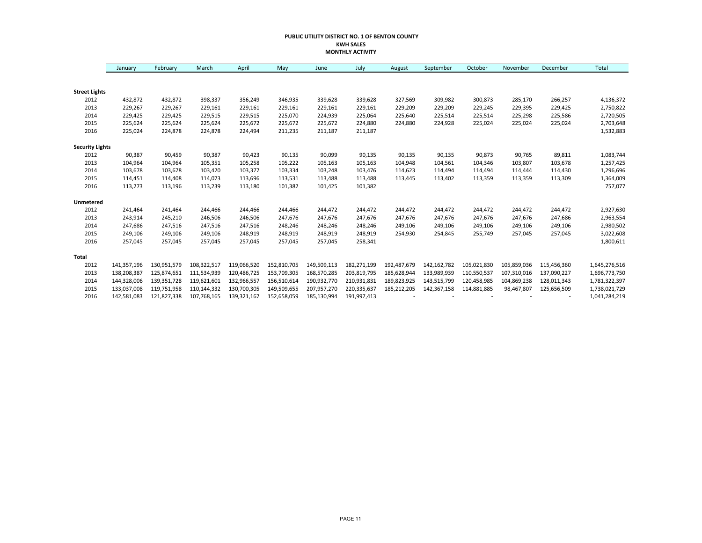#### **PUBLIC UTILITY DISTRICT NO. 1 OF BENTON COUNTY KWH SALES MONTHLY ACTIVITY**

|                        | January     | February    | March       | April       | May         | June        | July        | August      | September   | October     | November    | December    | Total         |
|------------------------|-------------|-------------|-------------|-------------|-------------|-------------|-------------|-------------|-------------|-------------|-------------|-------------|---------------|
|                        |             |             |             |             |             |             |             |             |             |             |             |             |               |
| <b>Street Lights</b>   |             |             |             |             |             |             |             |             |             |             |             |             |               |
| 2012                   | 432,872     | 432,872     | 398,337     | 356,249     | 346,935     | 339,628     | 339,628     | 327,569     | 309,982     | 300,873     | 285,170     | 266,257     | 4,136,372     |
| 2013                   | 229,267     | 229,267     | 229,161     | 229,161     | 229,161     | 229,161     | 229,161     | 229,209     | 229,209     | 229,245     | 229,395     | 229,425     | 2,750,822     |
| 2014                   | 229,425     | 229,425     | 229,515     | 229,515     | 225,070     | 224,939     | 225,064     | 225,640     | 225,514     | 225,514     | 225,298     | 225,586     | 2,720,505     |
| 2015                   | 225,624     | 225,624     | 225,624     | 225,672     | 225,672     | 225,672     | 224,880     | 224,880     | 224,928     | 225,024     | 225,024     | 225,024     | 2,703,648     |
| 2016                   | 225,024     | 224,878     | 224,878     | 224,494     | 211,235     | 211,187     | 211,187     |             |             |             |             |             | 1,532,883     |
| <b>Security Lights</b> |             |             |             |             |             |             |             |             |             |             |             |             |               |
| 2012                   | 90,387      | 90,459      | 90,387      | 90,423      | 90,135      | 90,099      | 90,135      | 90,135      | 90,135      | 90,873      | 90,765      | 89,811      | 1,083,744     |
| 2013                   | 104,964     | 104,964     | 105,351     | 105,258     | 105,222     | 105,163     | 105,163     | 104,948     | 104,561     | 104,346     | 103,807     | 103,678     | 1,257,425     |
| 2014                   | 103,678     | 103,678     | 103,420     | 103,377     | 103,334     | 103,248     | 103,476     | 114,623     | 114,494     | 114,494     | 114,444     | 114,430     | 1,296,696     |
| 2015                   | 114,451     | 114,408     | 114,073     | 113,696     | 113,531     | 113,488     | 113,488     | 113,445     | 113,402     | 113,359     | 113,359     | 113,309     | 1,364,009     |
| 2016                   | 113,273     | 113,196     | 113,239     | 113,180     | 101,382     | 101,425     | 101,382     |             |             |             |             |             | 757,077       |
| Unmetered              |             |             |             |             |             |             |             |             |             |             |             |             |               |
| 2012                   | 241,464     | 241,464     | 244,466     | 244,466     | 244,466     | 244,472     | 244,472     | 244,472     | 244,472     | 244,472     | 244,472     | 244,472     | 2,927,630     |
| 2013                   | 243,914     | 245,210     | 246,506     | 246,506     | 247,676     | 247,676     | 247,676     | 247,676     | 247,676     | 247,676     | 247,676     | 247,686     | 2,963,554     |
| 2014                   | 247,686     | 247,516     | 247,516     | 247,516     | 248,246     | 248,246     | 248,246     | 249,106     | 249,106     | 249,106     | 249,106     | 249,106     | 2,980,502     |
| 2015                   | 249,106     | 249,106     | 249,106     | 248,919     | 248,919     | 248,919     | 248,919     | 254,930     | 254,845     | 255,749     | 257,045     | 257,045     | 3,022,608     |
| 2016                   | 257,045     | 257,045     | 257,045     | 257,045     | 257,045     | 257,045     | 258,341     |             |             |             |             |             | 1,800,611     |
| <b>Total</b>           |             |             |             |             |             |             |             |             |             |             |             |             |               |
| 2012                   | 141,357,196 | 130,951,579 | 108,322,517 | 119,066,520 | 152,810,705 | 149,509,113 | 182,271,199 | 192,487,679 | 142,162,782 | 105,021,830 | 105,859,036 | 115,456,360 | 1,645,276,516 |
| 2013                   | 138,208,387 | 125,874,651 | 111,534,939 | 120,486,725 | 153,709,305 | 168,570,285 | 203,819,795 | 185,628,944 | 133,989,939 | 110,550,537 | 107,310,016 | 137,090,227 | 1,696,773,750 |
| 2014                   | 144,328,006 | 139,351,728 | 119,621,601 | 132,966,557 | 156,510,614 | 190,932,770 | 210,931,831 | 189,823,925 | 143,515,799 | 120,458,985 | 104,869,238 | 128,011,343 | 1,781,322,397 |
| 2015                   | 133,037,008 | 119,751,958 | 110,144,332 | 130,700,305 | 149,509,655 | 207,957,270 | 220,335,637 | 185,212,205 | 142,367,158 | 114,881,885 | 98,467,807  | 125,656,509 | 1,738,021,729 |
| 2016                   | 142,581,083 | 121,827,338 | 107,768,165 | 139,321,167 | 152,658,059 | 185,130,994 | 191,997,413 |             |             |             |             |             | 1,041,284,219 |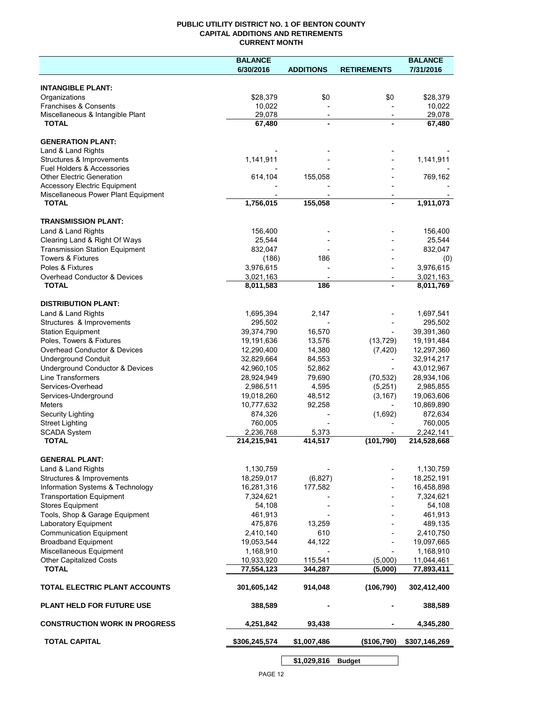## **PUBLIC UTILITY DISTRICT NO. 1 OF BENTON COUNTY CAPITAL ADDITIONS AND RETIREMENTS CURRENT MONTH**

|                                                                            | <b>BALANCE</b>           |                          |                          | <b>BALANCE</b>           |
|----------------------------------------------------------------------------|--------------------------|--------------------------|--------------------------|--------------------------|
|                                                                            | 6/30/2016                | <b>ADDITIONS</b>         | <b>RETIREMENTS</b>       | 7/31/2016                |
|                                                                            |                          |                          |                          |                          |
| <b>INTANGIBLE PLANT:</b><br>Organizations                                  | \$28,379                 | \$0                      | \$0                      | \$28,379                 |
| Franchises & Consents                                                      | 10,022                   |                          |                          | 10,022                   |
| Miscellaneous & Intangible Plant                                           | 29,078                   | $\overline{\phantom{a}}$ | $\overline{\phantom{a}}$ | 29,078                   |
| <b>TOTAL</b>                                                               | 67,480                   |                          |                          | 67,480                   |
|                                                                            |                          |                          |                          |                          |
| <b>GENERATION PLANT:</b>                                                   |                          |                          |                          |                          |
| Land & Land Rights                                                         |                          |                          |                          |                          |
| Structures & Improvements                                                  | 1,141,911                |                          |                          | 1,141,911                |
| Fuel Holders & Accessories                                                 |                          |                          |                          |                          |
| <b>Other Electric Generation</b>                                           | 614,104                  | 155,058                  |                          | 769,162                  |
| <b>Accessory Electric Equipment</b><br>Miscellaneous Power Plant Equipment |                          |                          |                          |                          |
| <b>TOTAL</b>                                                               | 1,756,015                | 155,058                  |                          | 1,911,073                |
|                                                                            |                          |                          |                          |                          |
| <b>TRANSMISSION PLANT:</b>                                                 |                          |                          |                          |                          |
| Land & Land Rights                                                         | 156,400                  |                          |                          | 156,400                  |
| Clearing Land & Right Of Ways                                              | 25,544                   |                          |                          | 25,544                   |
| <b>Transmission Station Equipment</b>                                      | 832,047                  |                          |                          | 832,047                  |
| <b>Towers &amp; Fixtures</b>                                               | (186)                    | 186                      |                          | (0)                      |
| Poles & Fixtures                                                           | 3,976,615                |                          |                          | 3,976,615                |
| Overhead Conductor & Devices                                               | 3,021,163                |                          |                          | 3,021,163                |
| <b>TOTAL</b>                                                               | 8,011,583                | 186                      |                          | 8,011,769                |
|                                                                            |                          |                          |                          |                          |
| <b>DISTRIBUTION PLANT:</b>                                                 |                          |                          |                          |                          |
| Land & Land Rights                                                         | 1,695,394                | 2,147                    |                          | 1,697,541                |
| Structures & Improvements                                                  | 295,502                  |                          |                          | 295,502                  |
| <b>Station Equipment</b>                                                   | 39,374,790               | 16,570                   |                          | 39,391,360               |
| Poles, Towers & Fixtures                                                   | 19,191,636               | 13,576                   | (13, 729)                | 19,191,484               |
| Overhead Conductor & Devices                                               | 12,290,400               | 14,380                   | (7, 420)                 | 12,297,360               |
| <b>Underground Conduit</b>                                                 | 32,829,664               | 84,553<br>52,862         |                          | 32,914,217               |
| Underground Conductor & Devices<br><b>Line Transformers</b>                | 42,960,105<br>28,924,949 | 79,690                   | (70, 532)                | 43,012,967<br>28,934,106 |
| Services-Overhead                                                          | 2,986,511                | 4,595                    | (5,251)                  | 2,985,855                |
| Services-Underground                                                       | 19,018,260               | 48,512                   | (3, 167)                 | 19,063,606               |
| Meters                                                                     | 10,777,632               | 92,258                   |                          | 10,869,890               |
| Security Lighting                                                          | 874,326                  |                          | (1,692)                  | 872,634                  |
| <b>Street Lighting</b>                                                     | 760,005                  |                          |                          | 760,005                  |
| <b>SCADA System</b>                                                        | 2,236,768                | 5,373                    |                          | 2,242,141                |
| <b>TOTAL</b>                                                               | 214,215,941              | 414,517                  | (101, 790)               | 214,528,668              |
|                                                                            |                          |                          |                          |                          |
| <b>GENERAL PLANT:</b>                                                      |                          |                          |                          |                          |
| Land & Land Rights                                                         | 1,130,759                |                          |                          | 1,130,759                |
| Structures & Improvements                                                  | 18,259,017               | (6,827)                  |                          | 18,252,191               |
| Information Systems & Technology                                           | 16,281,316               | 177,582                  |                          | 16,458,898               |
| <b>Transportation Equipment</b>                                            | 7,324,621                |                          |                          | 7,324,621                |
| <b>Stores Equipment</b>                                                    | 54,108                   |                          |                          | 54,108                   |
| Tools, Shop & Garage Equipment                                             | 461,913                  |                          |                          | 461,913                  |
| Laboratory Equipment                                                       | 475,876                  | 13,259                   |                          | 489,135                  |
| <b>Communication Equipment</b>                                             | 2,410,140                | 610                      |                          | 2,410,750                |
| <b>Broadband Equipment</b><br>Miscellaneous Equipment                      | 19,053,544<br>1,168,910  | 44,122                   |                          | 19,097,665<br>1,168,910  |
| <b>Other Capitalized Costs</b>                                             | 10,933,920               | 115,541                  | (5,000)                  | 11,044,461               |
| <b>TOTAL</b>                                                               | 77,554,123               | 344,287                  | (5,000)                  | 77,893,411               |
|                                                                            |                          |                          |                          |                          |
| TOTAL ELECTRIC PLANT ACCOUNTS                                              | 301,605,142              | 914,048                  | (106, 790)               | 302,412,400              |
| <b>PLANT HELD FOR FUTURE USE</b>                                           | 388,589                  |                          |                          | 388,589                  |
| <b>CONSTRUCTION WORK IN PROGRESS</b>                                       | 4,251,842                | 93,438                   |                          | 4,345,280                |
| <b>TOTAL CAPITAL</b>                                                       | \$306,245,574            | \$1,007,486              | (\$106,790)              | \$307,146,269            |
|                                                                            |                          |                          |                          |                          |

**\$1,029,816 Budget**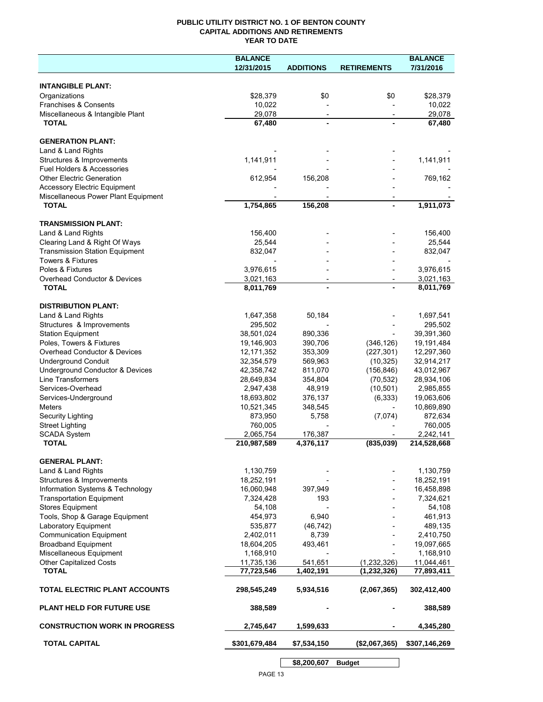## **PUBLIC UTILITY DISTRICT NO. 1 OF BENTON COUNTY CAPITAL ADDITIONS AND RETIREMENTS YEAR TO DATE**

|                                                  | <b>BALANCE</b>         |                          |                    | <b>BALANCE</b>     |
|--------------------------------------------------|------------------------|--------------------------|--------------------|--------------------|
|                                                  | 12/31/2015             | <b>ADDITIONS</b>         | <b>RETIREMENTS</b> | 7/31/2016          |
|                                                  |                        |                          |                    |                    |
| <b>INTANGIBLE PLANT:</b>                         |                        |                          |                    |                    |
| Organizations                                    | \$28,379               | \$0                      | \$0                | \$28,379<br>10,022 |
| Franchises & Consents                            | 10,022                 |                          |                    |                    |
| Miscellaneous & Intangible Plant<br><b>TOTAL</b> | 29,078<br>67,480       | $\overline{\phantom{a}}$ |                    | 29,078<br>67,480   |
|                                                  |                        |                          |                    |                    |
| <b>GENERATION PLANT:</b>                         |                        |                          |                    |                    |
| Land & Land Rights                               |                        |                          |                    |                    |
| Structures & Improvements                        | 1,141,911              |                          |                    | 1,141,911          |
| Fuel Holders & Accessories                       |                        |                          |                    |                    |
| <b>Other Electric Generation</b>                 | 612,954                | 156,208                  |                    | 769,162            |
| <b>Accessory Electric Equipment</b>              |                        |                          |                    |                    |
| Miscellaneous Power Plant Equipment              |                        |                          |                    |                    |
| <b>TOTAL</b>                                     | 1,754,865              | 156,208                  |                    | 1,911,073          |
|                                                  |                        |                          |                    |                    |
| <b>TRANSMISSION PLANT:</b>                       |                        |                          |                    |                    |
| Land & Land Rights                               | 156,400                |                          |                    | 156,400            |
| Clearing Land & Right Of Ways                    | 25,544                 |                          |                    | 25,544             |
| <b>Transmission Station Equipment</b>            | 832,047                |                          |                    | 832,047            |
| <b>Towers &amp; Fixtures</b>                     |                        |                          |                    |                    |
| Poles & Fixtures                                 | 3,976,615              |                          |                    | 3,976,615          |
| Overhead Conductor & Devices<br><b>TOTAL</b>     | 3,021,163<br>8,011,769 | $\overline{\phantom{a}}$ |                    | 3,021,163          |
|                                                  |                        |                          |                    | 8,011,769          |
| <b>DISTRIBUTION PLANT:</b>                       |                        |                          |                    |                    |
| Land & Land Rights                               | 1,647,358              | 50,184                   |                    | 1,697,541          |
| Structures & Improvements                        | 295,502                |                          |                    | 295,502            |
| <b>Station Equipment</b>                         | 38,501,024             | 890,336                  |                    | 39,391,360         |
| Poles, Towers & Fixtures                         | 19,146,903             | 390,706                  | (346, 126)         | 19,191,484         |
| Overhead Conductor & Devices                     | 12, 171, 352           | 353,309                  | (227, 301)         | 12,297,360         |
| <b>Underground Conduit</b>                       | 32,354,579             | 569,963                  | (10, 325)          | 32,914,217         |
| Underground Conductor & Devices                  | 42,358,742             | 811,070                  | (156, 846)         | 43,012,967         |
| Line Transformers                                | 28,649,834             | 354,804                  | (70, 532)          | 28,934,106         |
| Services-Overhead                                | 2,947,438              | 48,919                   | (10, 501)          | 2,985,855          |
| Services-Underground                             | 18,693,802             | 376,137                  | (6, 333)           | 19,063,606         |
| <b>Meters</b>                                    | 10,521,345             | 348,545                  |                    | 10,869,890         |
| Security Lighting                                | 873,950                | 5,758                    | (7,074)            | 872,634            |
| <b>Street Lighting</b>                           | 760,005                |                          |                    | 760,005            |
| <b>SCADA System</b>                              | 2,065,754              | 176,387                  |                    | 2,242,141          |
| <b>TOTAL</b>                                     | 210,987,589            | 4,376,117                | (835,039)          | 214,528,668        |
| <b>GENERAL PLANT:</b>                            |                        |                          |                    |                    |
| Land & Land Rights                               | 1,130,759              |                          |                    | 1,130,759          |
| Structures & Improvements                        | 18,252,191             |                          |                    | 18,252,191         |
| Information Systems & Technology                 | 16,060,948             | 397,949                  |                    | 16,458,898         |
| <b>Transportation Equipment</b>                  | 7,324,428              | 193                      |                    | 7,324,621          |
| <b>Stores Equipment</b>                          | 54,108                 |                          |                    | 54,108             |
| Tools, Shop & Garage Equipment                   | 454,973                | 6,940                    |                    | 461,913            |
| Laboratory Equipment                             | 535,877                | (46, 742)                |                    | 489,135            |
| <b>Communication Equipment</b>                   | 2,402,011              | 8,739                    |                    | 2,410,750          |
| <b>Broadband Equipment</b>                       | 18,604,205             | 493,461                  |                    | 19,097,665         |
| Miscellaneous Equipment                          | 1,168,910              |                          |                    | 1,168,910          |
| Other Capitalized Costs                          | 11,735,136             | 541,651                  | (1,232,326)        | 11,044,461         |
| <b>TOTAL</b>                                     | 77,723,546             | 1,402,191                | (1, 232, 326)      | 77,893,411         |
| TOTAL ELECTRIC PLANT ACCOUNTS                    | 298,545,249            | 5,934,516                | (2,067,365)        | 302,412,400        |
| <b>PLANT HELD FOR FUTURE USE</b>                 | 388,589                |                          |                    | 388,589            |
| <b>CONSTRUCTION WORK IN PROGRESS</b>             | 2,745,647              | 1,599,633                |                    | 4,345,280          |
| <b>TOTAL CAPITAL</b>                             | \$301,679,484          | \$7,534,150              | (\$2,067,365)      | \$307,146,269      |
|                                                  |                        |                          |                    |                    |
|                                                  |                        | \$8,200,607              | <b>Budget</b>      |                    |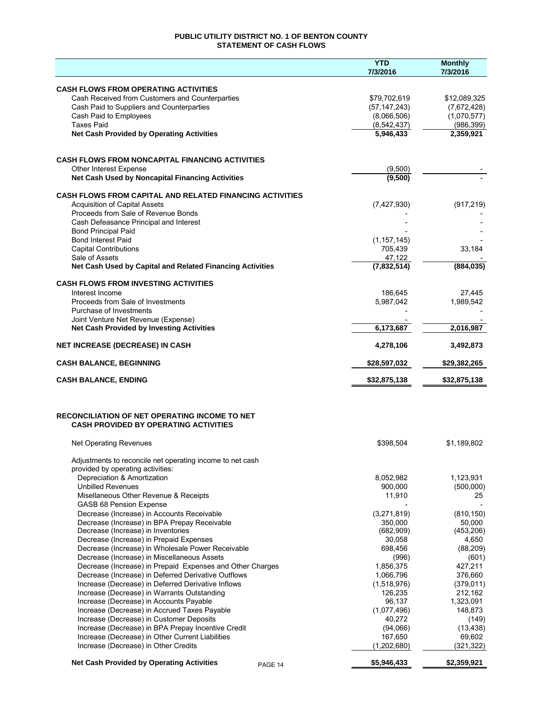## **PUBLIC UTILITY DISTRICT NO. 1 OF BENTON COUNTY STATEMENT OF CASH FLOWS**

|                                                                                                | <b>YTD</b><br>7/3/2016       | <b>Monthly</b><br>7/3/2016 |
|------------------------------------------------------------------------------------------------|------------------------------|----------------------------|
|                                                                                                |                              |                            |
| <b>CASH FLOWS FROM OPERATING ACTIVITIES</b>                                                    |                              |                            |
| Cash Received from Customers and Counterparties                                                | \$79,702,619                 | \$12,089,325               |
| Cash Paid to Suppliers and Counterparties                                                      | (57, 147, 243)               | (7,672,428)<br>(1,070,577) |
| Cash Paid to Employees<br><b>Taxes Paid</b>                                                    | (8,066,506)<br>(8, 542, 437) | (986, 399)                 |
| <b>Net Cash Provided by Operating Activities</b>                                               | 5,946,433                    | 2,359,921                  |
|                                                                                                |                              |                            |
|                                                                                                |                              |                            |
| <b>CASH FLOWS FROM NONCAPITAL FINANCING ACTIVITIES</b><br>Other Interest Expense               | (9,500)                      |                            |
| Net Cash Used by Noncapital Financing Activities                                               | (9,500)                      |                            |
|                                                                                                |                              |                            |
| <b>CASH FLOWS FROM CAPITAL AND RELATED FINANCING ACTIVITIES</b>                                |                              |                            |
| <b>Acquisition of Capital Assets</b>                                                           | (7,427,930)                  | (917, 219)                 |
| Proceeds from Sale of Revenue Bonds<br>Cash Defeasance Principal and Interest                  |                              |                            |
| <b>Bond Principal Paid</b>                                                                     |                              |                            |
| <b>Bond Interest Paid</b>                                                                      | (1, 157, 145)                |                            |
| <b>Capital Contributions</b>                                                                   | 705,439                      | 33,184                     |
| Sale of Assets                                                                                 | 47,122                       |                            |
| Net Cash Used by Capital and Related Financing Activities                                      | (7,832,514)                  | (884, 035)                 |
| <b>CASH FLOWS FROM INVESTING ACTIVITIES</b>                                                    |                              |                            |
| Interest Income                                                                                | 186,645                      | 27,445                     |
| Proceeds from Sale of Investments                                                              | 5,987,042                    | 1,989,542                  |
| Purchase of Investments                                                                        |                              |                            |
| Joint Venture Net Revenue (Expense)<br><b>Net Cash Provided by Investing Activities</b>        | 6,173,687                    | 2,016,987                  |
|                                                                                                |                              |                            |
| <b>NET INCREASE (DECREASE) IN CASH</b>                                                         | 4,278,106                    | 3,492,873                  |
| <b>CASH BALANCE, BEGINNING</b>                                                                 | \$28,597,032                 | \$29,382,265               |
| <b>CASH BALANCE, ENDING</b>                                                                    | \$32,875,138                 | \$32,875,138               |
|                                                                                                |                              |                            |
| <b>RECONCILIATION OF NET OPERATING INCOME TO NET</b>                                           |                              |                            |
| <b>CASH PROVIDED BY OPERATING ACTIVITIES</b>                                                   |                              |                            |
| <b>Net Operating Revenues</b>                                                                  | \$398,504                    | \$1,189,802                |
|                                                                                                |                              |                            |
| Adjustments to reconcile net operating income to net cash<br>provided by operating activities: |                              |                            |
| Depreciation & Amortization                                                                    | 8,052,982                    | 1,123,931                  |
| <b>Unbilled Revenues</b>                                                                       | 900,000                      | (500,000)                  |
| Misellaneous Other Revenue & Receipts                                                          | 11,910                       | 25                         |
| <b>GASB 68 Pension Expense</b>                                                                 |                              |                            |
| Decrease (Increase) in Accounts Receivable                                                     | (3,271,819)                  | (810, 150)                 |
| Decrease (Increase) in BPA Prepay Receivable<br>Decrease (Increase) in Inventories             | 350,000<br>(682,909)         | 50,000<br>(453, 206)       |
| Decrease (Increase) in Prepaid Expenses                                                        | 30,058                       | 4,650                      |
| Decrease (Increase) in Wholesale Power Receivable                                              | 698,456                      | (88, 209)                  |
| Decrease (Increase) in Miscellaneous Assets                                                    | (996)                        | (601)                      |
| Decrease (Increase) in Prepaid Expenses and Other Charges                                      | 1,856,375                    | 427,211                    |
| Decrease (Increase) in Deferred Derivative Outflows                                            | 1,066,796                    | 376,660                    |
| Increase (Decrease) in Deferred Derivative Inflows                                             | (1,518,976)                  | (379, 011)                 |
| Increase (Decrease) in Warrants Outstanding                                                    | 126,235                      | 212,162                    |
| Increase (Decrease) in Accounts Payable                                                        | 96,137                       | 1,323,091                  |
| Increase (Decrease) in Accrued Taxes Payable                                                   | (1,077,496)                  | 148,873                    |
| Increase (Decrease) in Customer Deposits<br>Increase (Decrease) in BPA Prepay Incentive Credit | 40,272<br>(94,066)           | (149)<br>(13, 438)         |
| Increase (Decrease) in Other Current Liabilities                                               | 167,650                      | 69,602                     |
| Increase (Decrease) in Other Credits                                                           | (1,202,680)                  | (321, 322)                 |
|                                                                                                |                              |                            |
| <b>Net Cash Provided by Operating Activities</b><br>PAGE 14                                    | \$5,946,433                  | \$2,359,921                |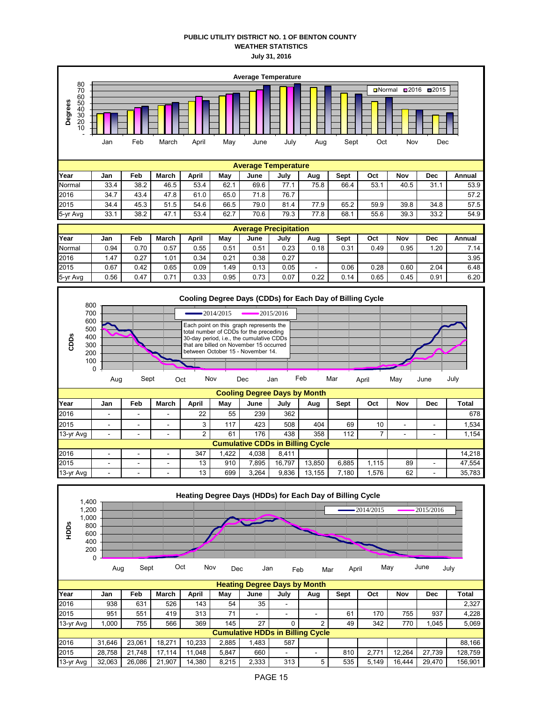## **PUBLIC UTILITY DISTRICT NO. 1 OF BENTON COUNTY WEATHER STATISTICS July 31, 2016**



| $10 - 91$ $N2$ |                                         |   |                          | <u>_</u> | ັບເ  | .     | ᠇୰     | ັບບບ   | $\overline{ }$ |      |    |   | ד טו,ו |  |
|----------------|-----------------------------------------|---|--------------------------|----------|------|-------|--------|--------|----------------|------|----|---|--------|--|
|                | <b>Cumulative CDDs in Billing Cycle</b> |   |                          |          |      |       |        |        |                |      |    |   |        |  |
| 2016           | $\overline{\phantom{a}}$                | - | $\overline{\phantom{a}}$ | 347      | .422 | 4.038 | 8.411  |        |                |      |    |   | 14.218 |  |
| 2015           | -                                       | - | $\sim$                   | 13       | 910  | .895  | 16.797 | 13.850 | 6.885          | .115 | 89 | - | 47.554 |  |
| 13-vr Ava      | $\sim$                                  | - | -                        | 13       | 699  | 3.264 | 9.836  | 13.155 | .180           | .576 | 62 | - | 35.783 |  |

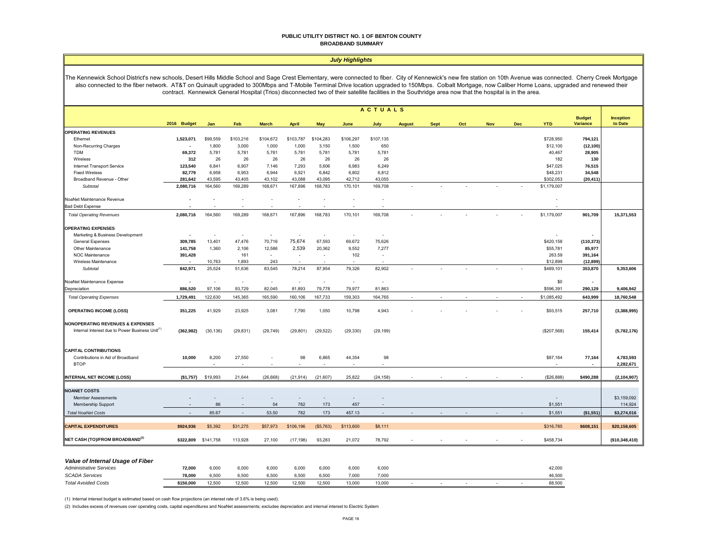#### **PUBLIC UTILITY DISTRICT NO. 1 OF BENTON COUNTY BROADBAND SUMMARY**

#### *July Highlights*

The Kennewick School District's new schools, Desert Hills Middle School and Sage Crest Elementary, were connected to fiber. City of Kennewick's new fire station on 10th Avenue was connected. Cherry Creek Mortgage also connected to the fiber network. AT&T on Quinault upgraded to 300Mbps and T-Mobile Terminal Drive location upgraded to 150Mbps. Colbalt Mortgage, now Caliber Home Loans, upgraded and renewed their contract. Kennewick General Hospital (Trios) disconnected two of their satellite facilities in the Southridge area now that the hospital is in the area.

|                                                                                                            | <b>ACTUALS</b>           |           |           |              |                          |                          |                  |                          |               |             |     |     |            |             |                                  |                             |
|------------------------------------------------------------------------------------------------------------|--------------------------|-----------|-----------|--------------|--------------------------|--------------------------|------------------|--------------------------|---------------|-------------|-----|-----|------------|-------------|----------------------------------|-----------------------------|
|                                                                                                            | 2016 Budget              | Jan       | Feb       | <b>March</b> | April                    | May                      | June             | July                     | <b>August</b> | <b>Sept</b> | Oct | Nov | <b>Dec</b> | <b>YTD</b>  | <b>Budget</b><br><b>Variance</b> | <b>Inception</b><br>to Date |
| <b>OPERATING REVENUES</b>                                                                                  |                          |           |           |              |                          |                          |                  |                          |               |             |     |     |            |             |                                  |                             |
| Ethernet                                                                                                   | 1,523,071                | \$99,559  | \$103,216 | \$104,672    | \$103,787                | \$104,283                | \$106,297        | \$107,135                |               |             |     |     |            | \$728,950   | 794,121                          |                             |
| Non-Recurring Charges                                                                                      | $\overline{\phantom{a}}$ | 1,800     | 3,000     | 1,000        | 1,000                    | 3,150                    | 1,500            | 650                      |               |             |     |     |            | \$12,100    | (12, 100)                        |                             |
| <b>TDM</b>                                                                                                 | 69,372                   | 5,781     | 5,781     | 5,781        | 5,781                    | 5,781                    | 5,781            | 5,781                    |               |             |     |     |            | 40,467      | 28,905                           |                             |
| Wireless                                                                                                   | 312                      | 26        | 26        | 26           | 26                       | 26                       | 26               | 26                       |               |             |     |     |            | 182         | 130                              |                             |
| Internet Transport Service                                                                                 | 123,540                  | 6,841     | 6,907     | 7,146        | 7,293                    | 5,606                    | 6,983            | 6,249                    |               |             |     |     |            | \$47,025    | 76,515                           |                             |
| <b>Fixed Wireless</b>                                                                                      | 82,779                   | 6,958     | 6,953     | 6,944        | 6,921                    | 6,842                    | 6,802            | 6,812                    |               |             |     |     |            | \$48,231    | 34,548                           |                             |
| Broadband Revenue - Other                                                                                  | 281,642                  | 43,595    | 43,405    | 43,102       | 43,088                   | 43,095                   | 42,712           | 43,055                   |               |             |     |     |            | \$302,053   | (20, 411)                        |                             |
| Subtotal                                                                                                   | 2,080,716                | 164,560   | 169,289   | 168,671      | 167,896                  | 168,783                  | 170,101          | 169,708                  |               |             |     |     |            | \$1,179,007 |                                  |                             |
| NoaNet Maintenance Revenue                                                                                 |                          |           | ٠         |              |                          |                          |                  |                          |               |             |     |     |            |             |                                  |                             |
| <b>Bad Debt Expense</b>                                                                                    |                          |           |           |              |                          |                          |                  |                          |               |             |     |     |            |             |                                  |                             |
| <b>Total Operating Revenues</b>                                                                            | 2,080,716                | 164,560   | 169,289   | 168,671      | 167,896                  | 168,783                  | 170,101          | 169,708                  |               |             |     |     |            | \$1,179,007 | 901,709                          | 15,371,553                  |
| <b>OPERATING EXPENSES</b>                                                                                  |                          |           |           |              |                          |                          |                  |                          |               |             |     |     |            |             |                                  |                             |
| Marketing & Business Development                                                                           |                          |           | $\sim$    |              | $\sim$                   |                          |                  | $\sim$                   |               |             |     |     |            |             |                                  |                             |
| <b>General Expenses</b>                                                                                    | 309,785                  | 13,401    | 47,476    | 70,716       | 75,674                   | 67,593                   | 69,672           | 75,626                   |               |             |     |     |            | \$420,158   | (110, 373)                       |                             |
| Other Maintenance                                                                                          | 141,758                  | 1,360     | 2,106     | 12,586       | 2,539                    | 20,362                   | 9,552            | 7,277                    |               |             |     |     |            | \$55,781    | 85,977                           |                             |
| NOC Maintenance                                                                                            | 391,428                  |           | 161       | $\sim$       | ٠                        | $\sim$                   | 102              | $\overline{\phantom{a}}$ |               |             |     |     |            | 263.59      | 391,164                          |                             |
| Wireless Maintenance                                                                                       | $\overline{\phantom{a}}$ | 10,763    | 1,893     | 243          | $\overline{\phantom{a}}$ | $\overline{\phantom{a}}$ | ٠                | $\overline{\phantom{a}}$ |               |             |     |     |            | \$12,899    | (12, 899)                        |                             |
| Subtotal                                                                                                   | 842,971                  | 25,524    | 51,636    | 83,545       | 78,214                   | 87,954                   | 79,326           | 82.902                   |               |             |     |     |            | \$489,101   | 353,870                          | 9,353,606                   |
| NoaNet Maintenance Expense                                                                                 |                          | $\sim$    | $\sim$    | $\sim$       | $\tilde{\phantom{a}}$    | $\sim$                   | $\sim$           | $\bar{a}$                |               |             |     |     |            | \$0         | $\blacksquare$                   |                             |
| Depreciation                                                                                               | 886,520                  | 97,106    | 93,729    | 82,045       | 81,893                   | 79,778                   | 79,977           | 81,863                   |               |             |     |     |            | \$596,391   | 290,129                          | 9,406,942                   |
| <b>Total Operating Expenses</b>                                                                            | 1,729,491                | 122,630   | 145,365   | 165,590      | 160,106                  | 167,733                  | 159,303          | 164,765                  |               |             |     |     |            | \$1,085,492 | 643,999                          | 18,760,548                  |
| <b>OPERATING INCOME (LOSS)</b>                                                                             | 351,225                  | 41,929    | 23,925    | 3,081        | 7,790                    | 1,050                    | 10,798           | 4,943                    |               |             |     |     |            | \$93,515    | 257,710                          | (3,388,995)                 |
| <b>NONOPERATING REVENUES &amp; EXPENSES</b><br>Internal Interest due to Power Business Unit <sup>(1)</sup> | (362, 982)               | (30, 136) | (29, 831) | (29, 749)    | (29, 801)                | (29, 522)                | (29, 330)        | (29, 199)                |               |             |     |     |            | (\$207,568) | 155,414                          | (5,782,176)                 |
| <b>CAPITAL CONTRIBUTIONS</b><br>Contributions in Aid of Broadband<br><b>BTOP</b>                           | 10,000                   | 8,200     | 27,550    |              | 98                       | 6,865                    | 44,354<br>$\sim$ | 98                       |               |             |     |     |            | \$87,164    | 77,164<br>$\blacksquare$         | 4,783,593<br>2,282,671      |
| <b>INTERNAL NET INCOME (LOSS)</b>                                                                          | (\$1,757)                | \$19,993  | 21,644    | (26, 668)    | (21, 914)                | (21, 607)                | 25,822           | (24, 158)                |               |             |     |     |            | (\$26,888)  | \$490,288                        | (2, 104, 907)               |
| <b>NOANET COSTS</b>                                                                                        |                          |           |           |              |                          |                          |                  |                          |               |             |     |     |            |             |                                  |                             |
| <b>Member Assessments</b>                                                                                  |                          |           |           |              | $\sim$                   |                          |                  |                          |               |             |     |     |            |             |                                  | \$3,159,092                 |
| Membership Support                                                                                         |                          | 86        |           | 54           | 782                      | 173                      | 457              |                          |               |             |     |     |            | \$1,551     |                                  | 114,924                     |
| <b>Total NoaNet Costs</b>                                                                                  |                          | 85.67     |           | 53.50        | 782                      | 173                      | 457.13           |                          |               |             |     |     |            | \$1,551     | (\$1,551)                        | \$3,274,016                 |
|                                                                                                            |                          |           |           |              |                          |                          |                  |                          |               |             |     |     |            |             |                                  |                             |
| <b>CAPITAL EXPENDITURES</b>                                                                                | \$924,936                | \$5,392   | \$31,275  | \$57,973     | \$106,196                | (\$5,763)                | \$113,600        | \$8,111                  |               |             |     |     |            | \$316,785   | \$608,151                        | \$20,158,605                |
| NET CASH (TO)/FROM BROADBAND <sup>(2)</sup>                                                                | \$322,809 \$141,758      |           | 113,928   | 27,100       | (17, 198)                | 93,283                   | 21,072           | 78,792                   |               |             |     |     |            | \$458,734   |                                  | (\$10,348,410)              |

| Value of Internal Usage of Fiber |           |        |        |        |        |        |        |        |  |        |        |
|----------------------------------|-----------|--------|--------|--------|--------|--------|--------|--------|--|--------|--------|
| <b>Administrative Services</b>   | 72,000    | 6,000  | 6,00   | 6,000  | 6.000  | 6,000  | 6,000  | 6,000  |  |        | 42,000 |
| <b>SCADA Services</b>            | 78.000    | 6.500  | 6.500  | 6.500  | 6.500  | 6.500  | 7.000  | 7,000  |  |        | 46.500 |
| <b>Total Avoided Costs</b>       | \$150,000 | 12,500 | 12,500 | 12,500 | 12.500 | 12,500 | 13.000 | 13,000 |  | $\sim$ | 88,500 |

(1) Internal interest budget is estimated based on cash flow projections (an interest rate of 3.6% is being used).

(2) Includes excess of revenues over operating costs, capital expenditures and NoaNet assessments; excludes depreciation and internal interest to Electric System